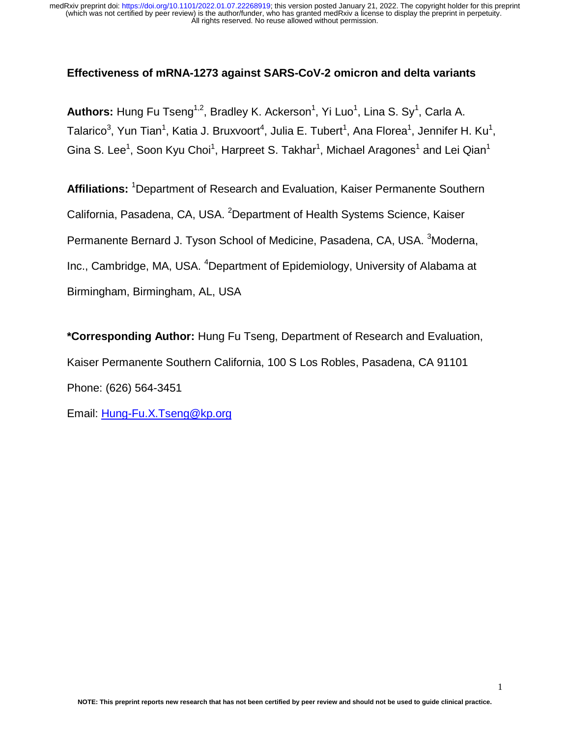## **Effectiveness of mRNA-1273 against SARS-CoV-2 omicron and delta variants**

**Authors:** Hung Fu Tseng<sup>1,2</sup>, Bradley K. Ackerson<sup>1</sup>, Yi Luo<sup>1</sup>, Lina S. Sy<sup>1</sup>, Carla A. Talarico<sup>3</sup>, Yun Tian<sup>1</sup>, Katia J. Bruxvoort<sup>4</sup>, Julia E. Tubert<sup>1</sup>, Ana Florea<sup>1</sup>, Jennifer H. Ku<sup>1</sup>, Gina S. Lee<sup>1</sup>, Soon Kyu Choi<sup>1</sup>, Harpreet S. Takhar<sup>1</sup>, Michael Aragones<sup>1</sup> and Lei Qian<sup>1</sup>

Affiliations: <sup>1</sup>Department of Research and Evaluation, Kaiser Permanente Southern California, Pasadena, CA, USA. <sup>2</sup>Department of Health Systems Science, Kaiser Permanente Bernard J. Tyson School of Medicine, Pasadena, CA, USA. <sup>3</sup>Moderna, Inc., Cambridge, MA, USA. <sup>4</sup>Department of Epidemiology, University of Alabama at Birmingham, Birmingham, AL, USA

**\*Corresponding Author:** Hung Fu Tseng, Department of Research and Evaluation, Kaiser Permanente Southern California, 100 S Los Robles, Pasadena, CA 91101 Phone: (626) 564-3451

Email: Hung-Fu.X.Tseng@kp.org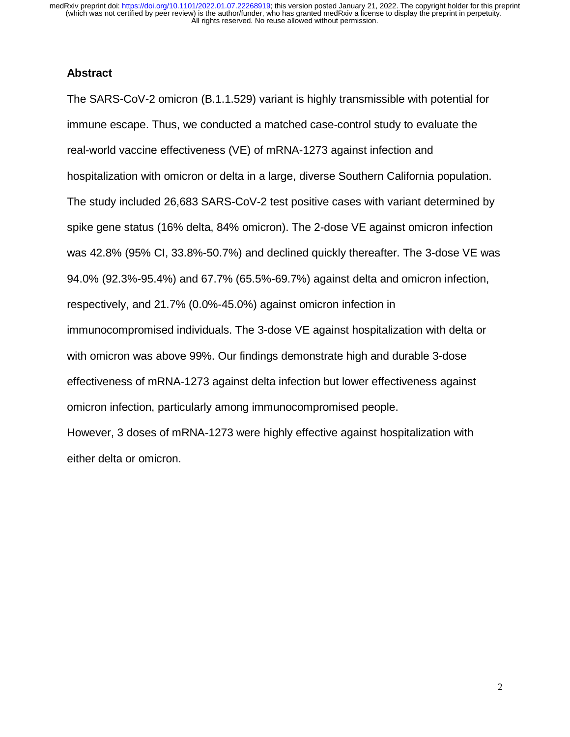#### **Abstract**

The SARS-CoV-2 omicron (B.1.1.529) variant is highly transmissible with potential for immune escape. Thus, we conducted a matched case-control study to evaluate the real-world vaccine effectiveness (VE) of mRNA-1273 against infection and hospitalization with omicron or delta in a large, diverse Southern California population. The study included 26,683 SARS-CoV-2 test positive cases with variant determined by spike gene status (16% delta, 84% omicron). The 2-dose VE against omicron infection was 42.8% (95% CI, 33.8%-50.7%) and declined quickly thereafter. The 3-dose VE was 94.0% (92.3%-95.4%) and 67.7% (65.5%-69.7%) against delta and omicron infection, respectively, and 21.7% (0.0%-45.0%) against omicron infection in immunocompromised individuals. The 3-dose VE against hospitalization with delta or with omicron was above 99%. Our findings demonstrate high and durable 3-dose effectiveness of mRNA-1273 against delta infection but lower effectiveness against omicron infection, particularly among immunocompromised people. However, 3 doses of mRNA-1273 were highly effective against hospitalization with

either delta or omicron.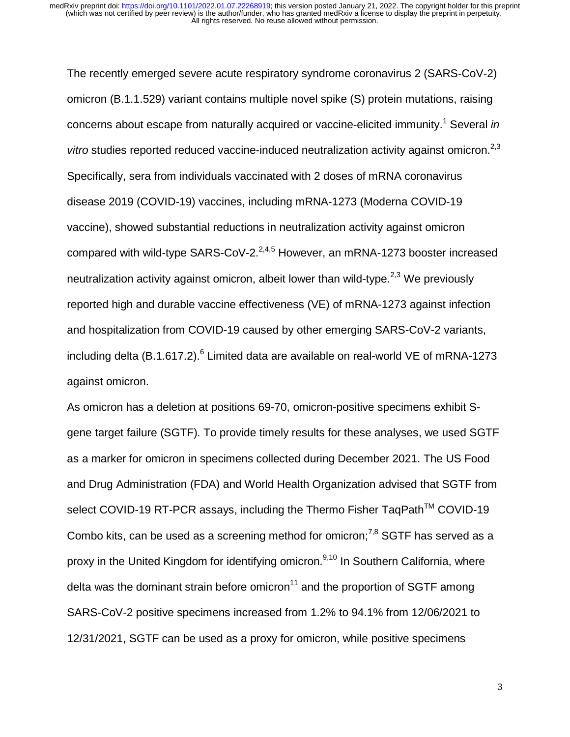The recently emerged severe acute respiratory syndrome coronavirus 2 (SARS-CoV-2) omicron (B.1.1.529) variant contains multiple novel spike (S) protein mutations, raising concerns about escape from naturally acquired or vaccine-elicited immunity.<sup>1</sup> Several *in vitro* studies reported reduced vaccine-induced neutralization activity against omicron.<sup>2,3</sup> Specifically, sera from individuals vaccinated with 2 doses of mRNA coronavirus disease 2019 (COVID-19) vaccines, including mRNA-1273 (Moderna COVID-19 vaccine), showed substantial reductions in neutralization activity against omicron compared with wild-type SARS-CoV-2. $^{2,4,5}$  However, an mRNA-1273 booster increased neutralization activity against omicron, albeit lower than wild-type.<sup>2,3</sup> We previously reported high and durable vaccine effectiveness (VE) of mRNA-1273 against infection and hospitalization from COVID-19 caused by other emerging SARS-CoV-2 variants, including delta (B.1.617.2). $^6$  Limited data are available on real-world VE of mRNA-1273 against omicron.

As omicron has a deletion at positions 69-70, omicron-positive specimens exhibit Sgene target failure (SGTF). To provide timely results for these analyses, we used SGTF as a marker for omicron in specimens collected during December 2021. The US Food and Drug Administration (FDA) and World Health Organization advised that SGTF from select COVID-19 RT-PCR assays, including the Thermo Fisher TaqPath™ COVID-19 Combo kits, can be used as a screening method for omicron;<sup>7,8</sup> SGTF has served as a proxy in the United Kingdom for identifying omicron.<sup>9,10</sup> In Southern California, where delta was the dominant strain before omicron<sup>11</sup> and the proportion of SGTF among SARS-CoV-2 positive specimens increased from 1.2% to 94.1% from 12/06/2021 to 12/31/2021, SGTF can be used as a proxy for omicron, while positive specimens

3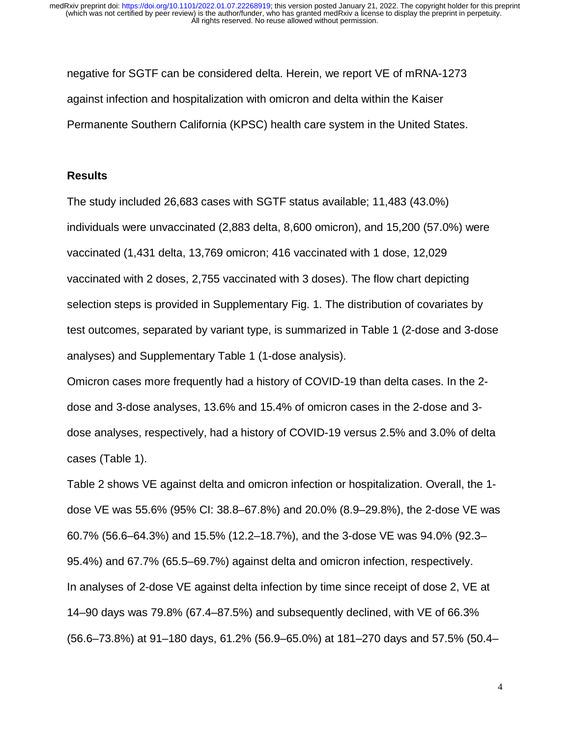negative for SGTF can be considered delta. Herein, we report VE of mRNA-1273 against infection and hospitalization with omicron and delta within the Kaiser Permanente Southern California (KPSC) health care system in the United States.

#### **Results**

The study included 26,683 cases with SGTF status available; 11,483 (43.0%) individuals were unvaccinated (2,883 delta, 8,600 omicron), and 15,200 (57.0%) were vaccinated (1,431 delta, 13,769 omicron; 416 vaccinated with 1 dose, 12,029 vaccinated with 2 doses, 2,755 vaccinated with 3 doses). The flow chart depicting selection steps is provided in Supplementary Fig. 1. The distribution of covariates by test outcomes, separated by variant type, is summarized in Table 1 (2-dose and 3-dose analyses) and Supplementary Table 1 (1-dose analysis).

Omicron cases more frequently had a history of COVID-19 than delta cases. In the 2 dose and 3-dose analyses, 13.6% and 15.4% of omicron cases in the 2-dose and 3 dose analyses, respectively, had a history of COVID-19 versus 2.5% and 3.0% of delta cases (Table 1).

Table 2 shows VE against delta and omicron infection or hospitalization. Overall, the 1 dose VE was 55.6% (95% CI: 38.8–67.8%) and 20.0% (8.9–29.8%), the 2-dose VE was 60.7% (56.6–64.3%) and 15.5% (12.2–18.7%), and the 3-dose VE was 94.0% (92.3– 95.4%) and 67.7% (65.5–69.7%) against delta and omicron infection, respectively. In analyses of 2-dose VE against delta infection by time since receipt of dose 2, VE at 14–90 days was 79.8% (67.4–87.5%) and subsequently declined, with VE of 66.3% (56.6–73.8%) at 91–180 days, 61.2% (56.9–65.0%) at 181–270 days and 57.5% (50.4–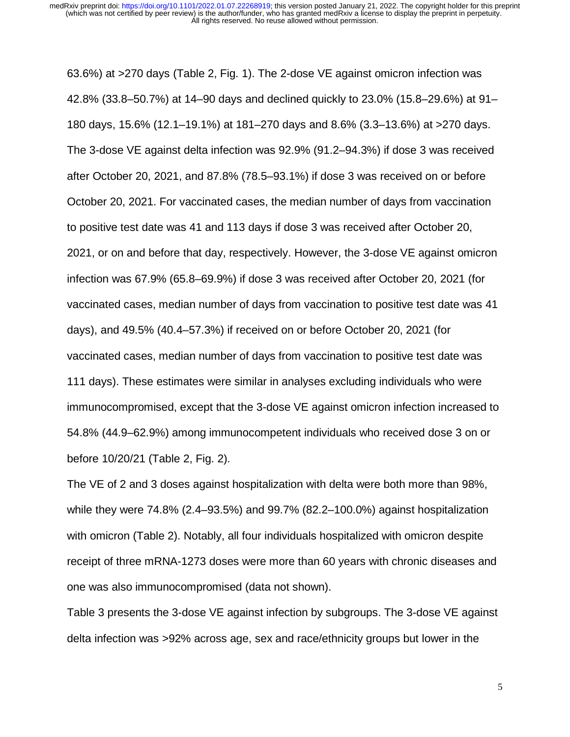63.6%) at >270 days (Table 2, Fig. 1). The 2-dose VE against omicron infection was 42.8% (33.8–50.7%) at 14–90 days and declined quickly to 23.0% (15.8–29.6%) at 91– 180 days, 15.6% (12.1–19.1%) at 181–270 days and 8.6% (3.3–13.6%) at >270 days. The 3-dose VE against delta infection was 92.9% (91.2–94.3%) if dose 3 was received after October 20, 2021, and 87.8% (78.5–93.1%) if dose 3 was received on or before October 20, 2021. For vaccinated cases, the median number of days from vaccination to positive test date was 41 and 113 days if dose 3 was received after October 20, 2021, or on and before that day, respectively. However, the 3-dose VE against omicron infection was 67.9% (65.8–69.9%) if dose 3 was received after October 20, 2021 (for vaccinated cases, median number of days from vaccination to positive test date was 41 days), and 49.5% (40.4–57.3%) if received on or before October 20, 2021 (for vaccinated cases, median number of days from vaccination to positive test date was 111 days). These estimates were similar in analyses excluding individuals who were immunocompromised, except that the 3-dose VE against omicron infection increased to 54.8% (44.9–62.9%) among immunocompetent individuals who received dose 3 on or before 10/20/21 (Table 2, Fig. 2).

The VE of 2 and 3 doses against hospitalization with delta were both more than 98%, while they were 74.8% (2.4–93.5%) and 99.7% (82.2–100.0%) against hospitalization with omicron (Table 2). Notably, all four individuals hospitalized with omicron despite receipt of three mRNA-1273 doses were more than 60 years with chronic diseases and one was also immunocompromised (data not shown).

Table 3 presents the 3-dose VE against infection by subgroups. The 3-dose VE against delta infection was >92% across age, sex and race/ethnicity groups but lower in the

5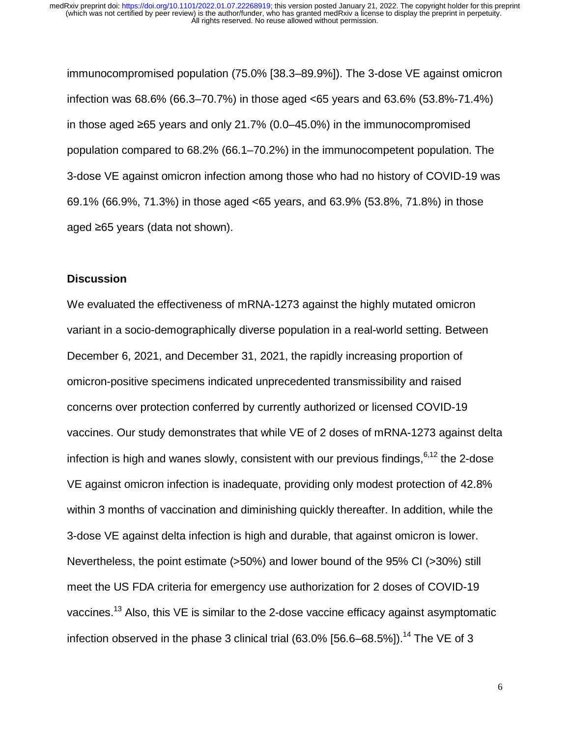immunocompromised population (75.0% [38.3–89.9%]). The 3-dose VE against omicron infection was 68.6% (66.3–70.7%) in those aged <65 years and 63.6% (53.8%-71.4%) in those aged ≥65 years and only 21.7% (0.0–45.0%) in the immunocompromised population compared to 68.2% (66.1–70.2%) in the immunocompetent population. The 3-dose VE against omicron infection among those who had no history of COVID-19 was 69.1% (66.9%, 71.3%) in those aged <65 years, and 63.9% (53.8%, 71.8%) in those aged ≥65 years (data not shown).

#### **Discussion**

We evaluated the effectiveness of mRNA-1273 against the highly mutated omicron variant in a socio-demographically diverse population in a real-world setting. Between December 6, 2021, and December 31, 2021, the rapidly increasing proportion of omicron-positive specimens indicated unprecedented transmissibility and raised concerns over protection conferred by currently authorized or licensed COVID-19 vaccines. Our study demonstrates that while VE of 2 doses of mRNA-1273 against delta infection is high and wanes slowly, consistent with our previous findings,  $6,12$  the 2-dose VE against omicron infection is inadequate, providing only modest protection of 42.8% within 3 months of vaccination and diminishing quickly thereafter. In addition, while the 3-dose VE against delta infection is high and durable, that against omicron is lower. Nevertheless, the point estimate (>50%) and lower bound of the 95% CI (>30%) still meet the US FDA criteria for emergency use authorization for 2 doses of COVID-19 vaccines.<sup>13</sup> Also, this VE is similar to the 2-dose vaccine efficacy against asymptomatic infection observed in the phase 3 clinical trial  $(63.0\%$   $[56.6-68.5\%]$ ).<sup>14</sup> The VE of 3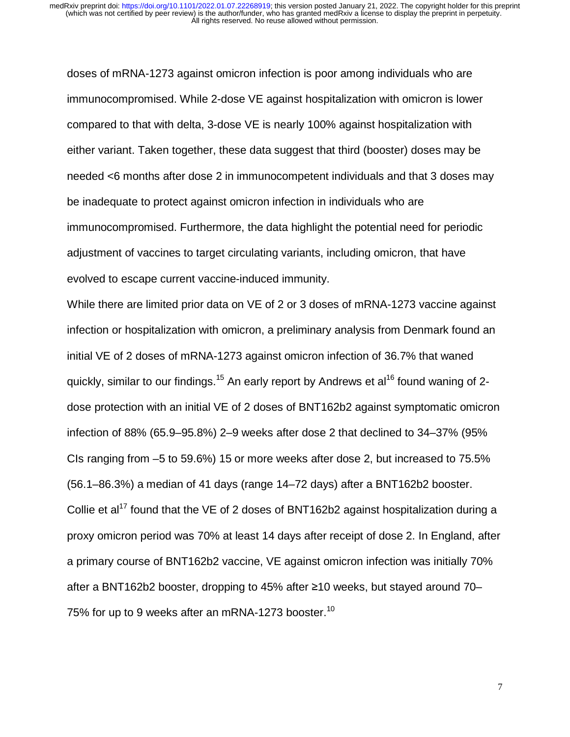doses of mRNA-1273 against omicron infection is poor among individuals who are immunocompromised. While 2-dose VE against hospitalization with omicron is lower compared to that with delta, 3-dose VE is nearly 100% against hospitalization with either variant. Taken together, these data suggest that third (booster) doses may be needed <6 months after dose 2 in immunocompetent individuals and that 3 doses may be inadequate to protect against omicron infection in individuals who are immunocompromised. Furthermore, the data highlight the potential need for periodic adjustment of vaccines to target circulating variants, including omicron, that have evolved to escape current vaccine-induced immunity.

While there are limited prior data on VE of 2 or 3 doses of mRNA-1273 vaccine against infection or hospitalization with omicron, a preliminary analysis from Denmark found an initial VE of 2 doses of mRNA-1273 against omicron infection of 36.7% that waned quickly, similar to our findings.<sup>15</sup> An early report by Andrews et al<sup>16</sup> found waning of 2dose protection with an initial VE of 2 doses of BNT162b2 against symptomatic omicron infection of 88% (65.9–95.8%) 2–9 weeks after dose 2 that declined to 34–37% (95% CIs ranging from –5 to 59.6%) 15 or more weeks after dose 2, but increased to 75.5% (56.1–86.3%) a median of 41 days (range 14–72 days) after a BNT162b2 booster. Collie et al<sup>17</sup> found that the VE of 2 doses of BNT162b2 against hospitalization during a proxy omicron period was 70% at least 14 days after receipt of dose 2. In England, after a primary course of BNT162b2 vaccine, VE against omicron infection was initially 70% after a BNT162b2 booster, dropping to 45% after ≥10 weeks, but stayed around 70– 75% for up to 9 weeks after an mRNA-1273 booster.<sup>10</sup>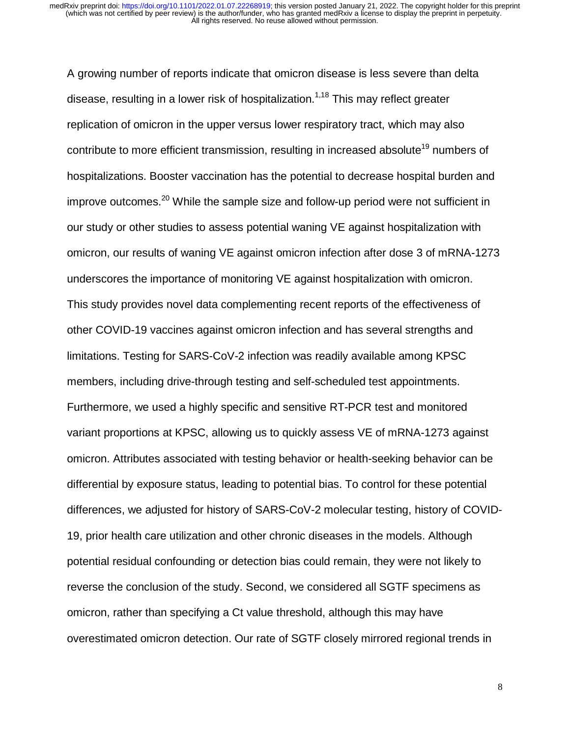A growing number of reports indicate that omicron disease is less severe than delta disease, resulting in a lower risk of hospitalization.<sup>1,18</sup> This may reflect greater replication of omicron in the upper versus lower respiratory tract, which may also contribute to more efficient transmission, resulting in increased absolute<sup>19</sup> numbers of hospitalizations. Booster vaccination has the potential to decrease hospital burden and improve outcomes.<sup>20</sup> While the sample size and follow-up period were not sufficient in our study or other studies to assess potential waning VE against hospitalization with omicron, our results of waning VE against omicron infection after dose 3 of mRNA-1273 underscores the importance of monitoring VE against hospitalization with omicron. This study provides novel data complementing recent reports of the effectiveness of other COVID-19 vaccines against omicron infection and has several strengths and limitations. Testing for SARS-CoV-2 infection was readily available among KPSC members, including drive-through testing and self-scheduled test appointments. Furthermore, we used a highly specific and sensitive RT-PCR test and monitored variant proportions at KPSC, allowing us to quickly assess VE of mRNA-1273 against omicron. Attributes associated with testing behavior or health-seeking behavior can be differential by exposure status, leading to potential bias. To control for these potential differences, we adjusted for history of SARS-CoV-2 molecular testing, history of COVID-19, prior health care utilization and other chronic diseases in the models. Although potential residual confounding or detection bias could remain, they were not likely to reverse the conclusion of the study. Second, we considered all SGTF specimens as omicron, rather than specifying a Ct value threshold, although this may have overestimated omicron detection. Our rate of SGTF closely mirrored regional trends in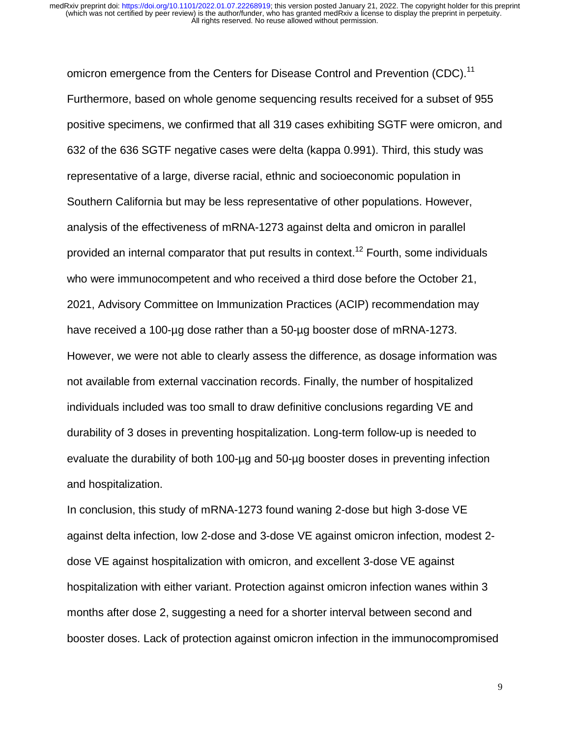omicron emergence from the Centers for Disease Control and Prevention (CDC).<sup>11</sup> Furthermore, based on whole genome sequencing results received for a subset of 955 positive specimens, we confirmed that all 319 cases exhibiting SGTF were omicron, and 632 of the 636 SGTF negative cases were delta (kappa 0.991). Third, this study was representative of a large, diverse racial, ethnic and socioeconomic population in Southern California but may be less representative of other populations. However, analysis of the effectiveness of mRNA-1273 against delta and omicron in parallel provided an internal comparator that put results in context.<sup>12</sup> Fourth, some individuals who were immunocompetent and who received a third dose before the October 21, 2021, Advisory Committee on Immunization Practices (ACIP) recommendation may have received a 100-µg dose rather than a 50-µg booster dose of mRNA-1273. However, we were not able to clearly assess the difference, as dosage information was not available from external vaccination records. Finally, the number of hospitalized individuals included was too small to draw definitive conclusions regarding VE and durability of 3 doses in preventing hospitalization. Long-term follow-up is needed to evaluate the durability of both 100-µg and 50-µg booster doses in preventing infection and hospitalization.

In conclusion, this study of mRNA-1273 found waning 2-dose but high 3-dose VE against delta infection, low 2-dose and 3-dose VE against omicron infection, modest 2 dose VE against hospitalization with omicron, and excellent 3-dose VE against hospitalization with either variant. Protection against omicron infection wanes within 3 months after dose 2, suggesting a need for a shorter interval between second and booster doses. Lack of protection against omicron infection in the immunocompromised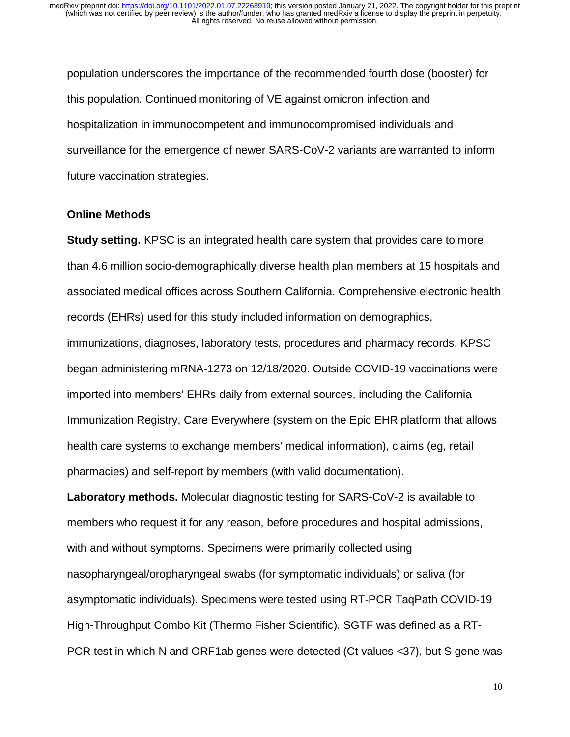population underscores the importance of the recommended fourth dose (booster) for this population. Continued monitoring of VE against omicron infection and hospitalization in immunocompetent and immunocompromised individuals and surveillance for the emergence of newer SARS-CoV-2 variants are warranted to inform future vaccination strategies.

#### **Online Methods**

**Study setting.** KPSC is an integrated health care system that provides care to more than 4.6 million socio-demographically diverse health plan members at 15 hospitals and associated medical offices across Southern California. Comprehensive electronic health records (EHRs) used for this study included information on demographics, immunizations, diagnoses, laboratory tests, procedures and pharmacy records. KPSC began administering mRNA-1273 on 12/18/2020. Outside COVID-19 vaccinations were imported into members' EHRs daily from external sources, including the California Immunization Registry, Care Everywhere (system on the Epic EHR platform that allows health care systems to exchange members' medical information), claims (eg, retail pharmacies) and self-report by members (with valid documentation).

**Laboratory methods.** Molecular diagnostic testing for SARS-CoV-2 is available to members who request it for any reason, before procedures and hospital admissions, with and without symptoms. Specimens were primarily collected using nasopharyngeal/oropharyngeal swabs (for symptomatic individuals) or saliva (for asymptomatic individuals). Specimens were tested using RT-PCR TaqPath COVID-19 High-Throughput Combo Kit (Thermo Fisher Scientific). SGTF was defined as a RT-PCR test in which N and ORF1ab genes were detected (Ct values <37), but S gene was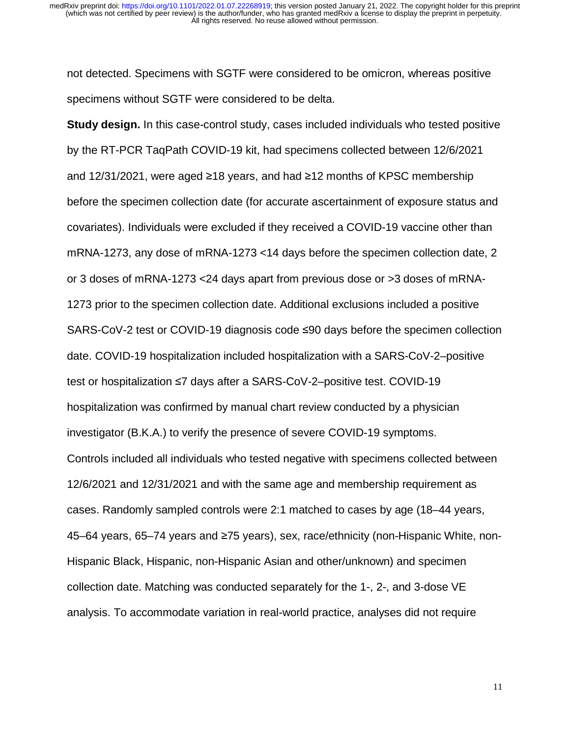not detected. Specimens with SGTF were considered to be omicron, whereas positive specimens without SGTF were considered to be delta.

**Study design.** In this case-control study, cases included individuals who tested positive by the RT-PCR TaqPath COVID-19 kit, had specimens collected between 12/6/2021 and 12/31/2021, were aged ≥18 years, and had ≥12 months of KPSC membership before the specimen collection date (for accurate ascertainment of exposure status and covariates). Individuals were excluded if they received a COVID-19 vaccine other than mRNA-1273, any dose of mRNA-1273 <14 days before the specimen collection date, 2 or 3 doses of mRNA-1273 <24 days apart from previous dose or >3 doses of mRNA-1273 prior to the specimen collection date. Additional exclusions included a positive SARS-CoV-2 test or COVID-19 diagnosis code ≤90 days before the specimen collection date. COVID-19 hospitalization included hospitalization with a SARS-CoV-2–positive test or hospitalization ≤7 days after a SARS-CoV-2–positive test. COVID-19 hospitalization was confirmed by manual chart review conducted by a physician investigator (B.K.A.) to verify the presence of severe COVID-19 symptoms. Controls included all individuals who tested negative with specimens collected between 12/6/2021 and 12/31/2021 and with the same age and membership requirement as cases. Randomly sampled controls were 2:1 matched to cases by age (18–44 years, 45–64 years, 65–74 years and ≥75 years), sex, race/ethnicity (non-Hispanic White, non-Hispanic Black, Hispanic, non-Hispanic Asian and other/unknown) and specimen collection date. Matching was conducted separately for the 1-, 2-, and 3-dose VE analysis. To accommodate variation in real-world practice, analyses did not require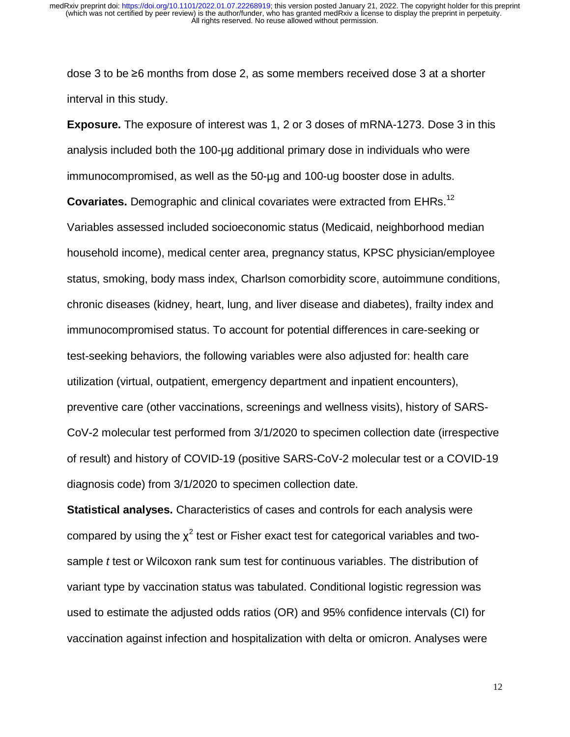dose 3 to be ≥6 months from dose 2, as some members received dose 3 at a shorter interval in this study.

**Exposure.** The exposure of interest was 1, 2 or 3 doses of mRNA-1273. Dose 3 in this analysis included both the 100-µg additional primary dose in individuals who were immunocompromised, as well as the 50-µg and 100-ug booster dose in adults.

**Covariates.** Demographic and clinical covariates were extracted from EHRs.<sup>12</sup> Variables assessed included socioeconomic status (Medicaid, neighborhood median household income), medical center area, pregnancy status, KPSC physician/employee status, smoking, body mass index, Charlson comorbidity score, autoimmune conditions, chronic diseases (kidney, heart, lung, and liver disease and diabetes), frailty index and immunocompromised status. To account for potential differences in care-seeking or test-seeking behaviors, the following variables were also adjusted for: health care utilization (virtual, outpatient, emergency department and inpatient encounters), preventive care (other vaccinations, screenings and wellness visits), history of SARS-CoV-2 molecular test performed from 3/1/2020 to specimen collection date (irrespective of result) and history of COVID-19 (positive SARS-CoV-2 molecular test or a COVID-19 diagnosis code) from 3/1/2020 to specimen collection date.

**Statistical analyses.** Characteristics of cases and controls for each analysis were compared by using the  $\chi^2$  test or Fisher exact test for categorical variables and twosample *t* test or Wilcoxon rank sum test for continuous variables. The distribution of variant type by vaccination status was tabulated. Conditional logistic regression was used to estimate the adjusted odds ratios (OR) and 95% confidence intervals (CI) for vaccination against infection and hospitalization with delta or omicron. Analyses were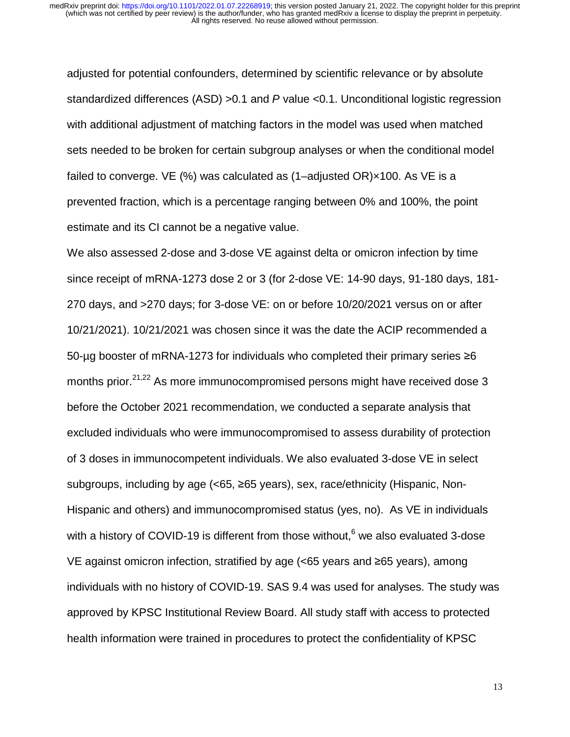adjusted for potential confounders, determined by scientific relevance or by absolute standardized differences (ASD) >0.1 and *P* value <0.1. Unconditional logistic regression with additional adjustment of matching factors in the model was used when matched sets needed to be broken for certain subgroup analyses or when the conditional model failed to converge. VE  $(%)$  was calculated as  $(1$ -adjusted OR $)\times$ 100. As VE is a prevented fraction, which is a percentage ranging between 0% and 100%, the point estimate and its CI cannot be a negative value.

We also assessed 2-dose and 3-dose VE against delta or omicron infection by time since receipt of mRNA-1273 dose 2 or 3 (for 2-dose VE: 14-90 days, 91-180 days, 181- 270 days, and >270 days; for 3-dose VE: on or before 10/20/2021 versus on or after 10/21/2021). 10/21/2021 was chosen since it was the date the ACIP recommended a 50-µg booster of mRNA-1273 for individuals who completed their primary series ≥<sup>6</sup> months prior.<sup>21,22</sup> As more immunocompromised persons might have received dose 3 before the October 2021 recommendation, we conducted a separate analysis that excluded individuals who were immunocompromised to assess durability of protection of 3 doses in immunocompetent individuals. We also evaluated 3-dose VE in select subgroups, including by age (<65, ≥65 years), sex, race/ethnicity (Hispanic, Non-Hispanic and others) and immunocompromised status (yes, no). As VE in individuals with a history of COVID-19 is different from those without,  $6$  we also evaluated 3-dose VE against omicron infection, stratified by age (<65 years and ≥65 years), among individuals with no history of COVID-19. SAS 9.4 was used for analyses. The study was approved by KPSC Institutional Review Board. All study staff with access to protected health information were trained in procedures to protect the confidentiality of KPSC

13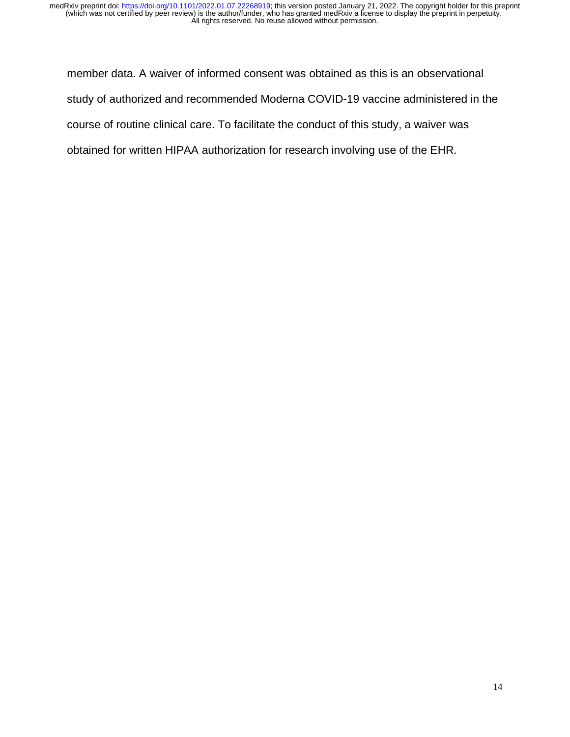member data. A waiver of informed consent was obtained as this is an observational study of authorized and recommended Moderna COVID-19 vaccine administered in the course of routine clinical care. To facilitate the conduct of this study, a waiver was obtained for written HIPAA authorization for research involving use of the EHR.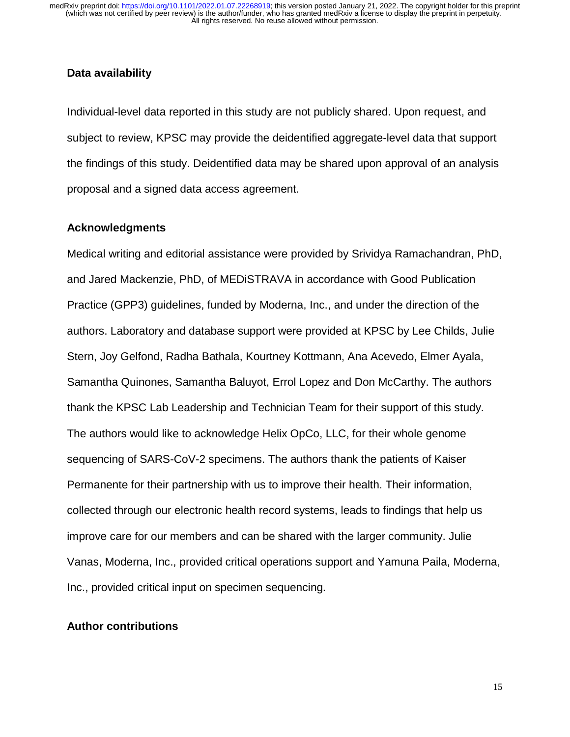## **Data availability**

Individual-level data reported in this study are not publicly shared. Upon request, and subject to review, KPSC may provide the deidentified aggregate-level data that support the findings of this study. Deidentified data may be shared upon approval of an analysis proposal and a signed data access agreement.

## **Acknowledgments**

Medical writing and editorial assistance were provided by Srividya Ramachandran, PhD, and Jared Mackenzie, PhD, of MEDiSTRAVA in accordance with Good Publication Practice (GPP3) guidelines, funded by Moderna, Inc., and under the direction of the authors. Laboratory and database support were provided at KPSC by Lee Childs, Julie Stern, Joy Gelfond, Radha Bathala, Kourtney Kottmann, Ana Acevedo, Elmer Ayala, Samantha Quinones, Samantha Baluyot, Errol Lopez and Don McCarthy. The authors thank the KPSC Lab Leadership and Technician Team for their support of this study. The authors would like to acknowledge Helix OpCo, LLC, for their whole genome sequencing of SARS-CoV-2 specimens. The authors thank the patients of Kaiser Permanente for their partnership with us to improve their health. Their information, collected through our electronic health record systems, leads to findings that help us improve care for our members and can be shared with the larger community. Julie Vanas, Moderna, Inc., provided critical operations support and Yamuna Paila, Moderna, Inc., provided critical input on specimen sequencing.

#### **Author contributions**

15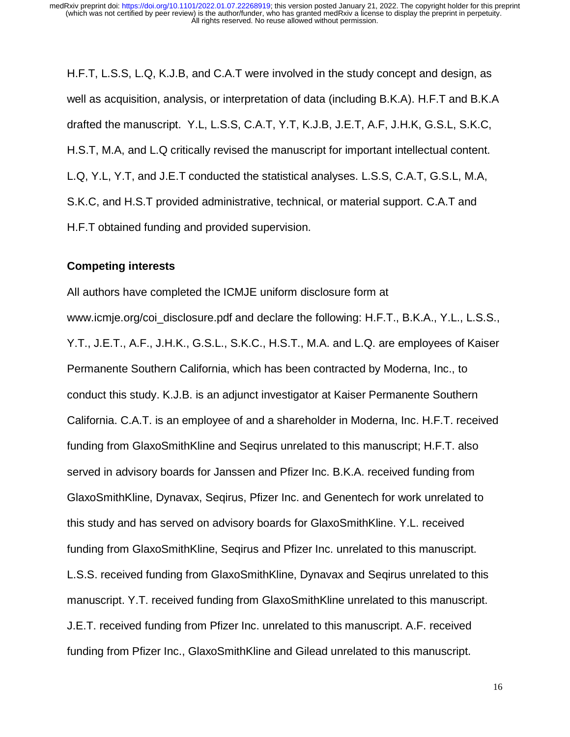H.F.T, L.S.S, L.Q, K.J.B, and C.A.T were involved in the study concept and design, as well as acquisition, analysis, or interpretation of data (including B.K.A). H.F.T and B.K.A drafted the manuscript. Y.L, L.S.S, C.A.T, Y.T, K.J.B, J.E.T, A.F, J.H.K, G.S.L, S.K.C, H.S.T, M.A, and L.Q critically revised the manuscript for important intellectual content. L.Q, Y.L, Y.T, and J.E.T conducted the statistical analyses. L.S.S, C.A.T, G.S.L, M.A, S.K.C, and H.S.T provided administrative, technical, or material support. C.A.T and H.F.T obtained funding and provided supervision.

#### **Competing interests**

All authors have completed the ICMJE uniform disclosure form at www.icmje.org/coi\_disclosure.pdf and declare the following: H.F.T., B.K.A., Y.L., L.S.S., Y.T., J.E.T., A.F., J.H.K., G.S.L., S.K.C., H.S.T., M.A. and L.Q. are employees of Kaiser Permanente Southern California, which has been contracted by Moderna, Inc., to conduct this study. K.J.B. is an adjunct investigator at Kaiser Permanente Southern California. C.A.T. is an employee of and a shareholder in Moderna, Inc. H.F.T. received funding from GlaxoSmithKline and Seqirus unrelated to this manuscript; H.F.T. also served in advisory boards for Janssen and Pfizer Inc. B.K.A. received funding from GlaxoSmithKline, Dynavax, Seqirus, Pfizer Inc. and Genentech for work unrelated to this study and has served on advisory boards for GlaxoSmithKline. Y.L. received funding from GlaxoSmithKline, Seqirus and Pfizer Inc. unrelated to this manuscript. L.S.S. received funding from GlaxoSmithKline, Dynavax and Seqirus unrelated to this manuscript. Y.T. received funding from GlaxoSmithKline unrelated to this manuscript. J.E.T. received funding from Pfizer Inc. unrelated to this manuscript. A.F. received funding from Pfizer Inc., GlaxoSmithKline and Gilead unrelated to this manuscript.

16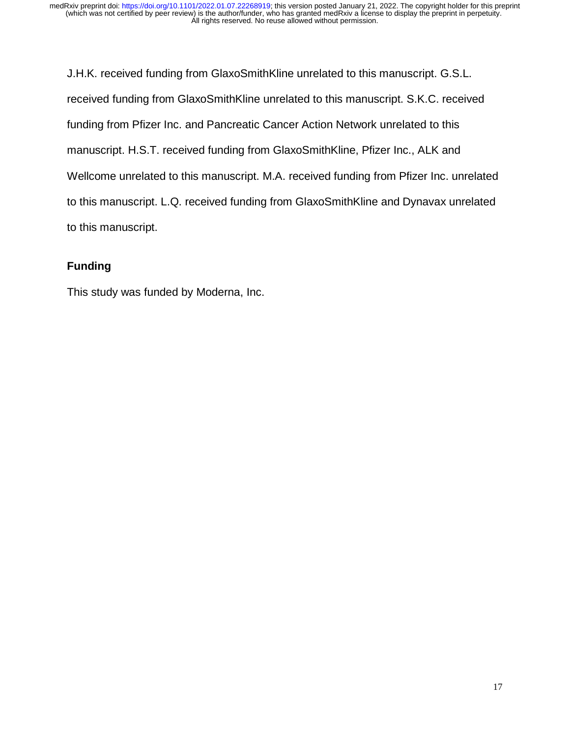J.H.K. received funding from GlaxoSmithKline unrelated to this manuscript. G.S.L. received funding from GlaxoSmithKline unrelated to this manuscript. S.K.C. received funding from Pfizer Inc. and Pancreatic Cancer Action Network unrelated to this manuscript. H.S.T. received funding from GlaxoSmithKline, Pfizer Inc., ALK and Wellcome unrelated to this manuscript. M.A. received funding from Pfizer Inc. unrelated to this manuscript. L.Q. received funding from GlaxoSmithKline and Dynavax unrelated to this manuscript.

# **Funding**

This study was funded by Moderna, Inc.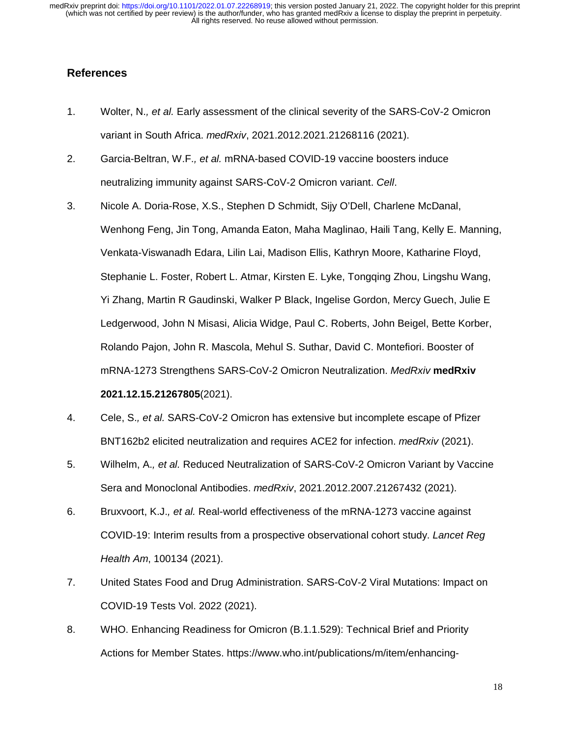## **References**

- 1. Wolter, N.*, et al.* Early assessment of the clinical severity of the SARS-CoV-2 Omicron variant in South Africa. *medRxiv*, 2021.2012.2021.21268116 (2021).
- 2. Garcia-Beltran, W.F.*, et al.* mRNA-based COVID-19 vaccine boosters induce neutralizing immunity against SARS-CoV-2 Omicron variant. *Cell*.
- 3. Nicole A. Doria-Rose, X.S., Stephen D Schmidt, Sijy O'Dell, Charlene McDanal, Wenhong Feng, Jin Tong, Amanda Eaton, Maha Maglinao, Haili Tang, Kelly E. Manning, Venkata-Viswanadh Edara, Lilin Lai, Madison Ellis, Kathryn Moore, Katharine Floyd, Stephanie L. Foster, Robert L. Atmar, Kirsten E. Lyke, Tongqing Zhou, Lingshu Wang, Yi Zhang, Martin R Gaudinski, Walker P Black, Ingelise Gordon, Mercy Guech, Julie E Ledgerwood, John N Misasi, Alicia Widge, Paul C. Roberts, John Beigel, Bette Korber, Rolando Pajon, John R. Mascola, Mehul S. Suthar, David C. Montefiori. Booster of mRNA-1273 Strengthens SARS-CoV-2 Omicron Neutralization. *MedRxiv* **medRxiv 2021.12.15.21267805**(2021).
- 4. Cele, S.*, et al.* SARS-CoV-2 Omicron has extensive but incomplete escape of Pfizer BNT162b2 elicited neutralization and requires ACE2 for infection. *medRxiv* (2021).
- 5. Wilhelm, A.*, et al.* Reduced Neutralization of SARS-CoV-2 Omicron Variant by Vaccine Sera and Monoclonal Antibodies. *medRxiv*, 2021.2012.2007.21267432 (2021).
- 6. Bruxvoort, K.J.*, et al.* Real-world effectiveness of the mRNA-1273 vaccine against COVID-19: Interim results from a prospective observational cohort study. *Lancet Reg Health Am*, 100134 (2021).
- 7. United States Food and Drug Administration. SARS-CoV-2 Viral Mutations: Impact on COVID-19 Tests Vol. 2022 (2021).
- 8. WHO. Enhancing Readiness for Omicron (B.1.1.529): Technical Brief and Priority Actions for Member States. https://www.who.int/publications/m/item/enhancing-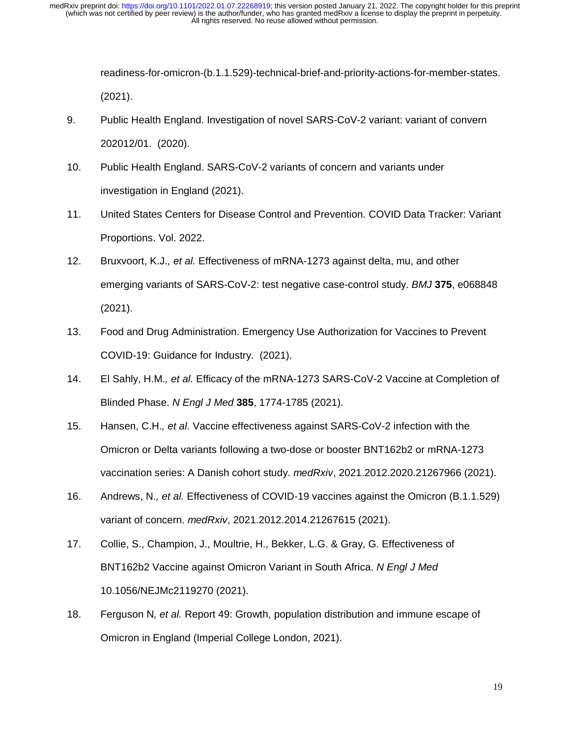> readiness-for-omicron-(b.1.1.529)-technical-brief-and-priority-actions-for-member-states. (2021).

- 9. Public Health England. Investigation of novel SARS-CoV-2 variant: variant of convern 202012/01. (2020).
- 10. Public Health England. SARS-CoV-2 variants of concern and variants under investigation in England (2021).
- 11. United States Centers for Disease Control and Prevention. COVID Data Tracker: Variant Proportions. Vol. 2022.
- 12. Bruxvoort, K.J.*, et al.* Effectiveness of mRNA-1273 against delta, mu, and other emerging variants of SARS-CoV-2: test negative case-control study. *BMJ* **375**, e068848 (2021).
- 13. Food and Drug Administration. Emergency Use Authorization for Vaccines to Prevent COVID-19: Guidance for Industry. (2021).
- 14. El Sahly, H.M.*, et al.* Efficacy of the mRNA-1273 SARS-CoV-2 Vaccine at Completion of Blinded Phase. *N Engl J Med* **385**, 1774-1785 (2021).
- 15. Hansen, C.H.*, et al.* Vaccine effectiveness against SARS-CoV-2 infection with the Omicron or Delta variants following a two-dose or booster BNT162b2 or mRNA-1273 vaccination series: A Danish cohort study. *medRxiv*, 2021.2012.2020.21267966 (2021).
- 16. Andrews, N.*, et al.* Effectiveness of COVID-19 vaccines against the Omicron (B.1.1.529) variant of concern. *medRxiv*, 2021.2012.2014.21267615 (2021).
- 17. Collie, S., Champion, J., Moultrie, H., Bekker, L.G. & Gray, G. Effectiveness of BNT162b2 Vaccine against Omicron Variant in South Africa. *N Engl J Med* 10.1056/NEJMc2119270 (2021).
- 18. Ferguson N*, et al.* Report 49: Growth, population distribution and immune escape of Omicron in England (Imperial College London, 2021).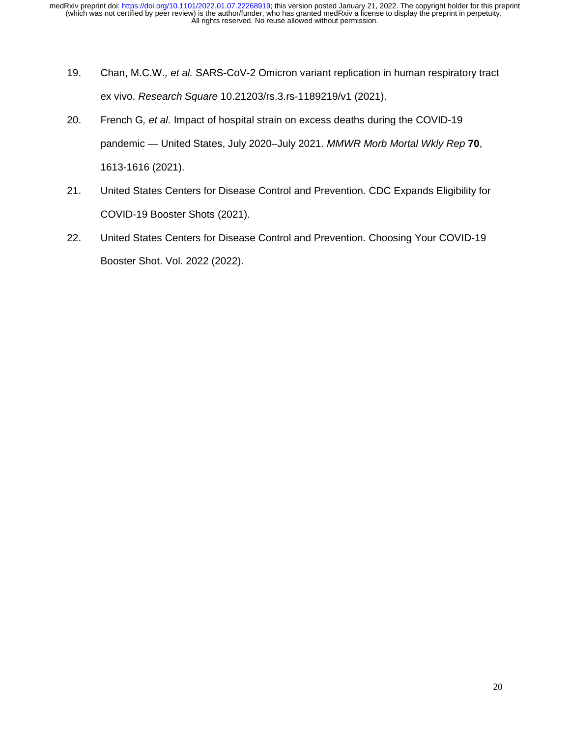- 19. Chan, M.C.W.*, et al.* SARS-CoV-2 Omicron variant replication in human respiratory tract ex vivo. *Research Square* 10.21203/rs.3.rs-1189219/v1 (2021).
- 20. French G*, et al.* Impact of hospital strain on excess deaths during the COVID-19 pandemic — United States, July 2020–July 2021. *MMWR Morb Mortal Wkly Rep* **70**, 1613-1616 (2021).
- 21. United States Centers for Disease Control and Prevention. CDC Expands Eligibility for COVID-19 Booster Shots (2021).
- 22. United States Centers for Disease Control and Prevention. Choosing Your COVID-19 Booster Shot. Vol. 2022 (2022).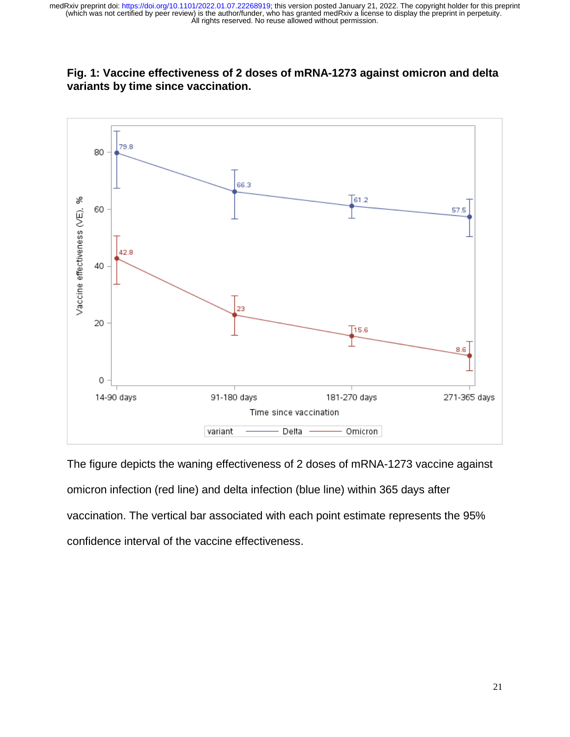



The figure depicts the waning effectiveness of 2 doses of mRNA-1273 vaccine against omicron infection (red line) and delta infection (blue line) within 365 days after vaccination. The vertical bar associated with each point estimate represents the 95% confidence interval of the vaccine effectiveness.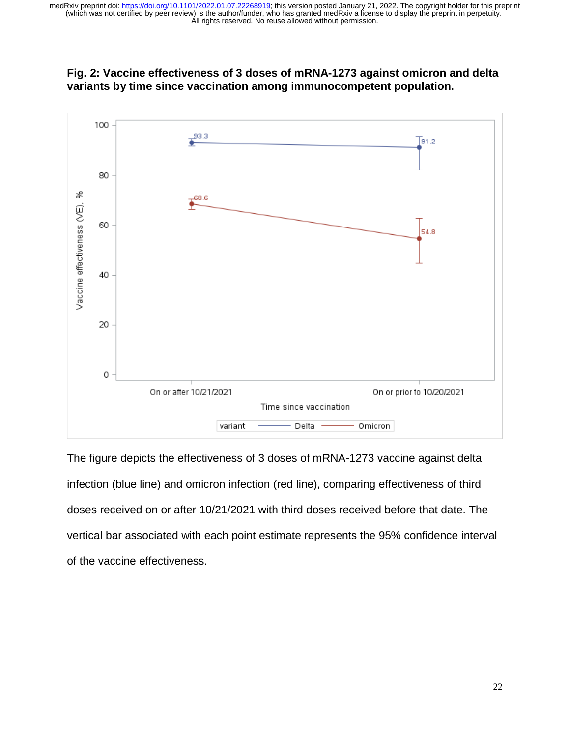



The figure depicts the effectiveness of 3 doses of mRNA-1273 vaccine against delta infection (blue line) and omicron infection (red line), comparing effectiveness of third doses received on or after 10/21/2021 with third doses received before that date. The vertical bar associated with each point estimate represents the 95% confidence interval of the vaccine effectiveness.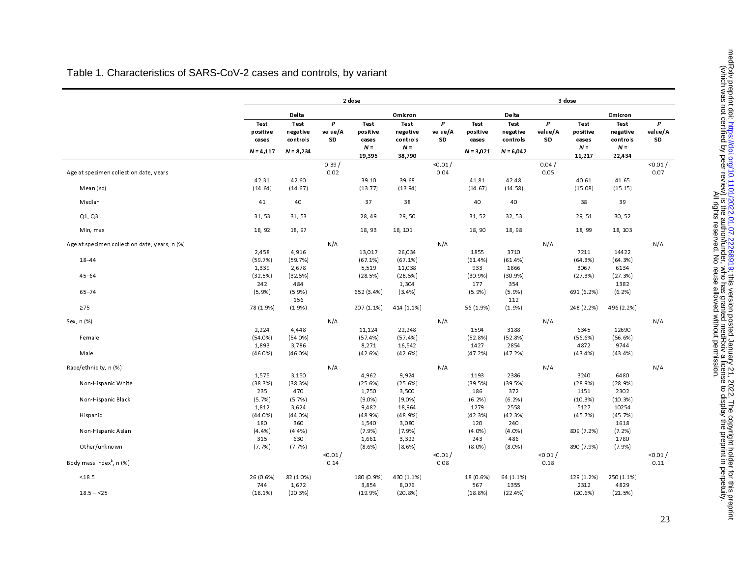|                                               |                                          | 2 dose                                             |                    |                                              |                                                        |                    |                                          | 3 dose                                             |                    |                                                     |                                                        |                    |
|-----------------------------------------------|------------------------------------------|----------------------------------------------------|--------------------|----------------------------------------------|--------------------------------------------------------|--------------------|------------------------------------------|----------------------------------------------------|--------------------|-----------------------------------------------------|--------------------------------------------------------|--------------------|
|                                               |                                          | Delta                                              |                    |                                              | Omicron                                                |                    |                                          | Delta                                              |                    |                                                     | Omicron                                                |                    |
|                                               | Test<br>positive<br>cases<br>$N = 4,117$ | <b>Test</b><br>negative<br>controls<br>$N = 8,234$ | p<br>value/A<br>SD | Test<br>positive<br>cases<br>$N -$<br>19,395 | <b>Test</b><br>negative<br>controls<br>$N -$<br>38,790 | P<br>value/A<br>SD | Test<br>positive<br>cases<br>$N = 3,021$ | <b>Test</b><br>negative<br>controls<br>$N = 6,042$ | P<br>value/A<br>SD | <b>Test</b><br>positive<br>cases<br>$N -$<br>11,217 | <b>Test</b><br>negative<br>controls<br>$N =$<br>22,434 | P<br>value/A<br>SD |
| Age at specimen collection date, years        |                                          |                                                    | 0.39/<br>0.02      |                                              |                                                        | < 0.01 /<br>0.04   |                                          |                                                    | 0.04 /<br>0.05     |                                                     |                                                        | < 0.01 /<br>0.07   |
| Mean (sd)                                     | 42.31<br>(14.64)                         | 42.60<br>(14.67)                                   |                    | 39.10<br>(13.77)                             | 39.68<br>(13.94)                                       |                    | 41.81<br>(14.67)                         | 42.48<br>(14.58)                                   |                    | 40.61<br>(15.08)                                    | 41.65<br>(15.15)                                       |                    |
| Median                                        | 41                                       | 40                                                 |                    | 37                                           | 38                                                     |                    | 40                                       | 40                                                 |                    | 38                                                  | 39                                                     |                    |
| Q1, Q3                                        | 31, 53                                   | 31, 53                                             |                    | 28, 49                                       | 29, 50                                                 |                    | 31, 52                                   | 32, 53                                             |                    | 29, 51                                              | 30, 52                                                 |                    |
| Min, max                                      | 18, 92                                   | 18, 97                                             |                    | 18, 93                                       | 18, 101                                                |                    | 18,90                                    | 18, 98                                             |                    | 18, 99                                              | 18, 103                                                |                    |
| Age at specimen collection date, years, n (%) | 2,458                                    | 4,916                                              | N/A                | 13,017                                       | 26,034                                                 | N/A                | 1855                                     | 3710                                               | N/A                | 7211                                                | 14422                                                  | N/A                |
| 18-44                                         | (59.7%)<br>1,339                         | (59.7%)<br>2,678                                   |                    | (67.1%)<br>5,519                             | (67.1%)<br>11,038                                      |                    | (61.4%)<br>933                           | (61.4%)<br>1866                                    |                    | (64.3%)<br>3067                                     | (64.3%)<br>6134                                        |                    |
| $45 - 64$                                     | (32.5%)<br>242                           | (32.5%)<br>484                                     |                    | (28.5%)                                      | (28.5%)<br>1,304                                       |                    | (30.9%)<br>177                           | (30.9%)<br>354                                     |                    | (27.3%)                                             | (27.3%)<br>1382                                        |                    |
| $65 - 74$                                     | (5.9%)                                   | $(5.9\%)$<br>156                                   |                    | 652 (3.4%)                                   | $(3.4\%)$                                              |                    | (5.9%)                                   | (5.9%)<br>112                                      |                    | 691 (6.2%)                                          | (6.2%)                                                 |                    |
| $\geq 75$                                     | 78 (1.9%)                                | (1.9%                                              |                    | 207 (1.1%)                                   | 414 (1.1%)                                             |                    | 56 (1.9%)                                | (1.9%                                              |                    | 248 (2.2%)                                          | 496 (2.2%)                                             |                    |
| Sex, n (%)                                    | 2,224                                    | 4,448                                              | N/A                | 11,124                                       | 22,248                                                 | N/A                | 1594                                     | 3188                                               | N/A                | 6345                                                | 12690                                                  | N/A                |
| Female                                        | (54.0%)<br>1,893                         | (54.0%)<br>3,786                                   |                    | (57.4%)<br>8,271                             | (57.4%)<br>16,542                                      |                    | (52.8%)<br>1427                          | (52.8%)<br>2854                                    |                    | (56.6%)<br>4872                                     | (56.6%)<br>9744                                        |                    |
| Male                                          | (46.0%)                                  | (46.0%)                                            |                    | (42.6%)                                      | (42.6%)                                                |                    | (47.2%)                                  | (47.2%)                                            |                    | (43.4%                                              | $(43.4\%)$                                             |                    |
| Race/ethnicity, n (%)                         |                                          |                                                    | N/A                |                                              |                                                        | N/A                |                                          |                                                    | N/A                |                                                     |                                                        | N/A                |
| Non-Hispanic White                            | 1,575<br>(38.3%)<br>235                  | 3,150<br>(38.3%)<br>470                            |                    | 4,962<br>(25.6%)<br>1,750                    | 9,924<br>(25.6%)<br>3,500                              |                    | 1193<br>(39.5%)<br>186                   | 2386<br>(39.5%)<br>372                             |                    | 3240<br>(28.9%)<br>1151                             | 6480<br>(28.9%)<br>2302                                |                    |
| Non-Hispanic Black                            | (5.7%)<br>1,812                          | (5.7%)<br>3,624                                    |                    | (9.0%<br>9,482                               | $(9.0\%)$<br>18,964                                    |                    | (6.2%)<br>1279                           | (6.2%)<br>2558                                     |                    | (10.3%)<br>5127                                     | (10.3%)<br>10254                                       |                    |
| Hispanic                                      | (44.0%)<br>180                           | (44.0%)<br>360                                     |                    | (48.9%)<br>1,540                             | (48.9%)<br>3,080                                       |                    | (42.3%)<br>120                           | (42.3%)<br>240                                     |                    | (45.7%)                                             | (45.7%)<br>1618                                        |                    |
| Non-Hispanic Asian                            | (4.4%)<br>315                            | (4.4%)<br>630                                      |                    | (7.9%<br>1,661                               | (7.9%<br>3,322                                         |                    | $(4.0\%)$<br>243                         | (4.0%<br>486                                       |                    | 809 (7.2%)                                          | (7.2%)<br>1780                                         |                    |
| Other/unknown                                 | (7.7%)                                   | (7.7%)                                             |                    | $(8.6\%)$                                    | (8.6%)                                                 |                    | $(8.0\%)$                                | $(8.0\%)$                                          |                    | 890 (7.9%)                                          | (7.9%)                                                 |                    |
| Body mass index <sup>b</sup> , n (%)          |                                          |                                                    | < 0.01 /<br>0.14   |                                              |                                                        | < 0.01 /<br>0.08   |                                          |                                                    | 0.01 /<br>0.18     |                                                     |                                                        | < 0.01 /<br>0.11   |
| < 18.5                                        | 26 (0.6%)<br>744                         | 82 (1.0%)<br>1,672                                 |                    | 180 (0.9%)<br>3,854                          | 430 (1.1%)<br>8,076                                    |                    | 18 (0.6%)<br>567                         | 64 (1.1%)<br>1355                                  |                    | 129 (1.2%)<br>2312                                  | 250 (1 1%)<br>4829                                     |                    |
| $18.5 - 25$                                   | (18.1%)                                  | (20.3%)                                            |                    | (19.9%                                       | (20.8%)                                                |                    | (18.8%)                                  | (22.4%)                                            |                    | (20.6%)                                             | (21.5%)                                                |                    |

# Table 1. Characteristics of SARS-CoV-2 cases and controls, by variant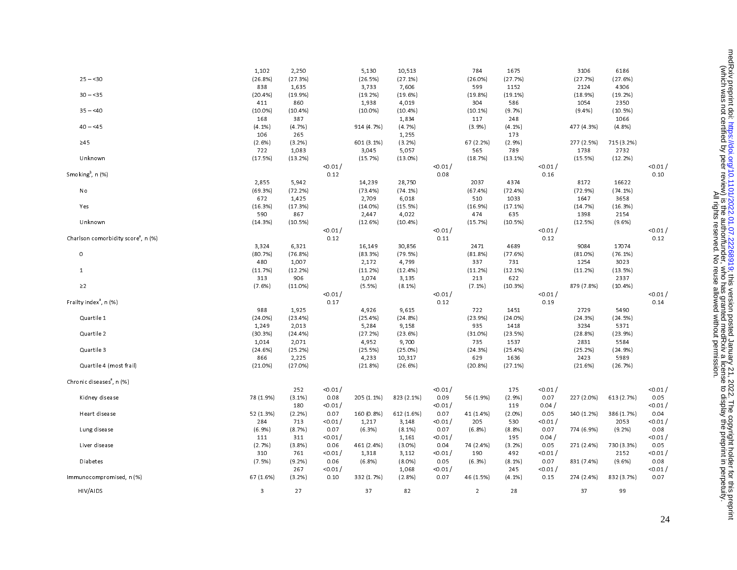| HIV/AIDS                                        | 3              | 27              |                  | 37               | 82                 |                  | $\overline{2}$ | 28               |                | 37              | 99              |                |
|-------------------------------------------------|----------------|-----------------|------------------|------------------|--------------------|------------------|----------------|------------------|----------------|-----------------|-----------------|----------------|
| mmunocompromised, n (%)                         | 67 (1.6%)      | (3.2%)          | 0.10             | 332 (1.7%)       | (2.8%)             | 0.07             | 46 (1.5%)      | (4.1%)           | 0.15           | 274 (2.4%)      | 832 (3.7%)      | 0.07           |
|                                                 |                | 267             | < 0.01 /         |                  | 1,068              | $<$ 0.01 $/$     |                | 245              | 0.01 /         |                 |                 | < 0.01 /       |
| Diabetes                                        | 310<br>(7.5%)  | 761<br>(9.2%)   | < 0.01 /<br>0.06 | 1,318<br>(6.8%)  | 3,112<br>$(8.0\%)$ | < 0.01 /<br>0.05 | 190<br>(6.3%)  | 492<br>$(8.1\%)$ | 0.01 /<br>0.07 | 831 (7.4%)      | 2152<br>(9.6%   | < 0.01<br>0.08 |
| Liver disease                                   | (2.7%)         | (3.8%)          | 0.06             | 461 (2.4%)       | $(3.0\%)$          | 0.04             | 74 (2.4%)      | (3.2%)           | 0.05           | 271 (2.4%)      | 730 (3.3%)      | 0.05           |
|                                                 | 111            | 311             | < 0.01 /         |                  | 1,161              | < 0.01 /         |                | 195              | 0.04 /         |                 |                 | < 0.01         |
| Lung disease                                    | (6.9%)         | (8.7%)          | 0.07             | (6.3%)           | (8.1%              | 0.07             | (6.8%)         | (8.8%)           | 0.07           | 774 (6.9%)      | (9.2%)          | 0.08           |
|                                                 | 284            | 713             | < 0.01 /         | 1,217            | 3,148              | < 0.01 /         | 205            | 530              | 0.01 /         |                 | 2053            | < 0.01         |
| Heart disease                                   | 52 (1.3%)      | (2.2%)          | 0.07             | 160 (0.8%)       | 612 (1.6%)         | 0.07             | 41 (1.4%)      | (2.0%            | 0.05           | 140 (1.2%)      | 386 (1 7%)      | 0.04           |
|                                                 |                | 180             | < 0.01 /         |                  |                    | < 0.01 /         |                | 119              | 0.04/          |                 |                 | 0.01/          |
| Kidney disease                                  | 78 (1.9%)      | $(3.1\%)$       | 0.08             | 205 (1.1%)       | 823 (2.1%)         | 0.09             | 56 (1.9%)      | (2.9%)           | 0.07           | 227 (20%)       | 613 (2.7%)      | 0.05           |
|                                                 |                | 252             | < 0.01 /         |                  |                    | 0.01 /           |                | 175              | < 0.01 /       |                 |                 | < 0.01 /       |
| Chronic diseases <sup>8</sup> , n (%)           |                |                 |                  |                  |                    |                  |                |                  |                |                 |                 |                |
| Quartile 4 (most frail)                         | (21.0%)        | (27.0%)         |                  | (21.8%)          | (26.6%)            |                  | (20.8%)        | (27.1%)          |                | (21.6%)         | (26.7%)         |                |
|                                                 | 866            | 2,225           |                  | 4,233            | 10,317             |                  | 629            | 1636             |                | 2423            | 5989            |                |
| Quartile 3                                      | (24.6%)        | (25.2%)         |                  | (25.5%)          | (25.0%)            |                  | (24.3%)        | (25.4%)          |                | (25.2%)         | (24.9%)         |                |
|                                                 | 1,014          | 2,071           |                  | 4,952            | 9,700              |                  | 735            | 1537             |                | 2831            | 5584            |                |
| Quartile 2                                      | (30.3%)        | (24.4%)         |                  | (27.2%)          | (23.6%)            |                  | (31.0%)        | (23.5%)          |                | (28.8%)         | (23.9%)         |                |
|                                                 | 1,249          | 2,013           |                  | 5,284            | 9,158              |                  | 935            | 1418             |                | 3234            | 5371            |                |
| Quartile 1                                      | (24.0%)        | (23.4%)         |                  | (25.4%)          | (24.8%)            |                  | (23.9%)        | (24.0%)          |                | (24.3%)         | (24.5%)         |                |
|                                                 | 988            | 1,925           |                  | 4,926            | 9,615              |                  | 722            | 1451             |                | 2729            | 5490            |                |
| Frailty index <sup>a</sup> , n (%)              |                |                 | 0.17             |                  |                    | 0.12             |                |                  | 0.19           |                 |                 | 0.14           |
|                                                 |                |                 | < 0.01 /         |                  |                    | < 0.01 /         |                |                  | 0.01 /         |                 |                 | 0.01 /         |
| $\geq$ 2                                        | (7.6%)         | (11.0%)         |                  | (5.5%)           | (8.1%              |                  | (7.1%          | (10.3%)          |                | 879 (7.8%)      | (10.4%)         |                |
|                                                 | 313            | 906             |                  | 1,074            | 3,135              |                  | 213            | 622              |                |                 | 2337            |                |
| $\mathbf{1}$                                    | (11.7%)        | (12.2%)         |                  | (11.2%)          | (12.4%)            |                  | (11.2%)        | (12.1%)          |                | (11.2%)         | (13.5%)         |                |
|                                                 | (80.7%)<br>480 | 1,007           |                  | (83.3%)<br>2,172 | (79.5%)<br>4,799   |                  | (81.8%)<br>337 | (77.6%)<br>731   |                | (81.0%)<br>1254 | (76.1%)<br>3023 |                |
| 0                                               |                | (76.8%)         |                  | 16,149           |                    |                  |                |                  |                |                 |                 |                |
| Charlson comorbidity score <sup>8</sup> , n (%) | 3,324          | 6,321           |                  |                  | 30,856             | 0.11             | 2471           | 4689             |                | 9084            | 17074           | 0.12           |
|                                                 |                |                 | < 0.01 /<br>0.12 |                  |                    | < 0.01 /         |                |                  | 0.01 /<br>0.12 |                 |                 | 0.01 /         |
| Unknown                                         | (14.3%)        | (10.5%)         |                  | (12.6%)          | (10.4%)            |                  | (15.7%)        | (10.5%)          |                | (12.5%)         | (9.6%)          |                |
|                                                 | 590            | 867             |                  | 2,447            | 4,022              |                  | 474            | 635              |                | 1398            | 2154            |                |
| Yes                                             | (16.3%)        | (17.3%)         |                  | (14.0%)          | (15.5%)            |                  | (16.9%)        | (17.1%)          |                | (14.7%)         | (16.3%)         |                |
|                                                 | 672            | 1,425           |                  | 2,709            | 6,018              |                  | 510            | 1033             |                | 1647            | 3658            |                |
| No                                              | (69.3%)        | (72.2%)         |                  | (73.4%)          | (74.1%)            |                  | (67.4%)        | (72.4%)          |                | (72.9%)         | (74.1%)         |                |
|                                                 | 2,855          | 5,942           |                  | 14,239           | 28,750             |                  | 2037           | 4374             |                | 8172            | 16622           |                |
| Smoking <sup>b</sup> , n $(%)$                  |                |                 | 0.12             |                  |                    | 0.08             |                |                  | 0.16           |                 |                 | 0.10           |
|                                                 |                |                 | < 0.01 /         |                  |                    | < 0.01 /         |                |                  | 0.01 /         |                 |                 | < 0.01 /       |
| Unknown                                         | (17.5%)        | (13.2%)         |                  | (15.7%)          | (13.0%)            |                  | (18.7%)        | (13.1%)          |                | (15.5%)         | (12.2%)         |                |
|                                                 | 722            | 1,083           |                  | 3,045            | 5,057              |                  | 565            | 789              |                | 1738            | 2732            |                |
| $\geq45$                                        | (2.6%)         | (3.2%)          |                  | 601 (3.1%)       | (3.2%)             |                  | 67 (2.2%)      | (2.9%)           |                | 277 (2.5%)      | 715 (3.2%)      |                |
|                                                 | 106            | 265             |                  |                  | 1,255              |                  |                | 173              |                |                 |                 |                |
| $40 - 45$                                       | $(4.1\%)$      | (4.7%)          |                  | 914 (4.7%)       | (47%)              |                  | (3.9%)         | $(4.1\%)$        |                | 477 (4.3%)      | (4.8%)          |                |
|                                                 | 168            | 387             |                  |                  | 1,834              |                  | 117            | 248              |                |                 | 1066            |                |
| $35 - 40$                                       | (10.0%         | (10.4%)         |                  | (10.0%           | (10.4%)            |                  | (10.1%)        | (9.7%)           |                | (9.4%)          | (10.5%)         |                |
|                                                 | 411            | 860             |                  | 1,938            | 4,019              |                  | 304            | 586              |                | 1054            | 2350            |                |
| $30 - 35$                                       | (20.4%         | 1,635<br>(19.9% |                  | 3,733<br>(19.2%) | 7,606<br>(19.6%)   |                  | (19.8%)        | 1152<br>(19.1%)  |                | 2124<br>(18.9%) | (19.2%)         |                |
| $25 - 30$                                       | (26.8%)<br>838 | (27.3%)         |                  | (26.5%)          | (27.1%)            |                  | (26.0%)<br>599 | (27.7%)          |                | (27.7%)         | (27.6%)<br>4306 |                |
|                                                 | 1,102          | 2,250           |                  | 5,130            | 10,513             |                  | 784            | 1675             |                | 3106            | 6186            |                |
|                                                 |                |                 |                  |                  |                    |                  |                |                  |                |                 |                 |                |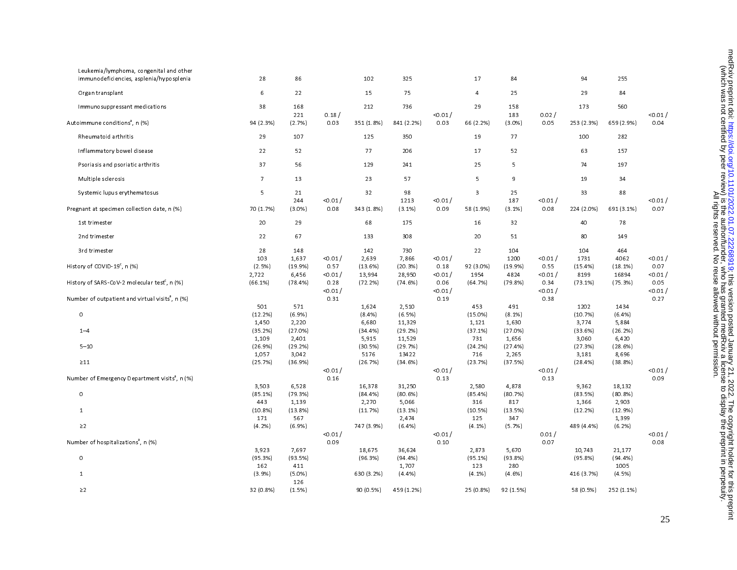| Leukemia/lymphoma, congenital and other<br>immunodeficiencies, asplenia/hyposplenia | 28                  | 86               |                  | 102               | 325                 |                  | 17                | 84               |                  | 94               | 255               |                  |
|-------------------------------------------------------------------------------------|---------------------|------------------|------------------|-------------------|---------------------|------------------|-------------------|------------------|------------------|------------------|-------------------|------------------|
| Organ transplant                                                                    | 6                   | 22               |                  | 15                | 75                  |                  | $\overline{4}$    | 25               |                  | 29               | 84                |                  |
| Immunosuppressant medications                                                       | 38                  | 168              |                  | 212               | 736                 |                  | 29                | 158              |                  | 173              | 560               |                  |
| Autoimmune conditions <sup>a</sup> , n (%)                                          | 94 (2.3%)           | 221<br>(2.7%)    | 0.18/<br>0.03    | 351 (1.8%)        | 841 (2.2%)          | < 0.01 /<br>0.03 | 66 (2.2%)         | 183<br>(3.0%)    | 0.02/<br>0.05    | 253 (2.3%)       | 659 (2.9%)        | < 0.01 /<br>0.04 |
| Rheumatoid arthritis                                                                | 29                  | 107              |                  | 125               | 350                 |                  | 19                | 77               |                  | 100              | 282               |                  |
| Inflammatory bowel disease                                                          | 22                  | 52               |                  | 77                | 206                 |                  | 17                | 52               |                  | 63               | 157               |                  |
| Psoriasis and psoriatic arthritis                                                   | 37                  | 56               |                  | 129               | 241                 |                  | 25                | 5                |                  | 74               | 197               |                  |
| Multiple sclerosis                                                                  | $\overline{7}$      | 13               |                  | 23                | 57                  |                  | 5                 | 9                |                  | 19               | 34                |                  |
| Systemic lupus erythematosus                                                        | 5                   | 21<br>244        | < 0.01 /         | 32                | 98<br>1213          | < 0.01 /         | 3                 | 25<br>187        | 0.01 /           | 33               | 88                | < 0.01 /         |
| Pregnant at specimen collection date, n (%)                                         | 70 (1.7%)           | $(3.0\%)$        | 0.08             | 343 (1.8%)        | $(3.1\%)$           | 0.09             | 58 (1.9%)         | $(3.1\%)$        | 0.08             | 224 (2.0%)       | 691 (3.1%)        | 0.07             |
| 1st trimester                                                                       | 20                  | 29               |                  | 68                | 175                 |                  | 16                | 32               |                  | 40               | 78                |                  |
| 2nd trimester                                                                       | 22                  | 67               |                  | 133               | 308                 |                  | 20                | 51               |                  | 80               | 149               |                  |
| 3rd trimester                                                                       | 28<br>103           | 148<br>1,637     | < 0.01 /         | 142<br>2,639      | 730<br>7,866        | < 0.01 /         | 22                | 104<br>1200      | < 0.01 /         | 104<br>1731      | 464<br>4062       | < 0.01 /         |
| History of COVID-19 <sup>c</sup> , n (%)                                            | (2.5%)<br>2,722     | (19.9%<br>6,456  | 0.57<br>< 0.01 / | (13.6%)<br>13,994 | (20.3%)<br>28,950   | 0.18<br>0.01 /   | 92 (3.0%)<br>1954 | (19.9%<br>4824   | 0.55<br>0.01 /   | (15.4%)<br>8199  | (18.1%)<br>16894  | 0.07<br>< 0.01 / |
| History of SARS-CoV-2 molecular test <sup>c</sup> , n (%)                           | (66.1%)             | (78.4%)          | 0.28<br>< 0.01 / | (72.2%)           | (74.6%)             | 0.06<br>< 0.01 / | (64.7%)           | (79.8%)          | 0.34<br>< 0.01 / | $(73.1\%)$       | (75.3%)           | 0.05<br>< 0.01 / |
| Number of outpatient and virtual visits <sup>8</sup> , n (%)                        |                     |                  | 0.31             |                   |                     | 0.19             |                   |                  | 0.38             |                  |                   | 0.27             |
| 0                                                                                   | 501<br>(12.2%)      | 571<br>$(6.9\%)$ |                  | 1,624<br>(8.4%)   | 2,510<br>(6.5%)     |                  | 453<br>$(15.0\%)$ | 491<br>$(8.1\%)$ |                  | 1202<br>(10.7%)  | 1434<br>(6.4%     |                  |
| $1 - 4$                                                                             | 1,450<br>(35.2%)    | 2,220<br>(27.0%) |                  | 6,680<br>(34 4%)  | 11,329<br>(29.2%)   |                  | 1,121<br>(37.1%)  | 1,630<br>(27.0%) |                  | 3,774<br>(33.6%) | 5,884<br>(26.2%)  |                  |
| $5 - 10$                                                                            | 1,109<br>(26.9%)    | 2,401<br>(29.2%) |                  | 5,915<br>(30.5%)  | 11,529<br>(29.7%)   |                  | 731<br>(24.2%)    | 1,656<br>(27.4%  |                  | 3,060<br>(27.3%) | 6,420<br>(28.6%)  |                  |
| $\geq$ 11                                                                           | 1,057<br>(25.7%)    | 3,042<br>(36.9%) |                  | 5176<br>(26.7%)   | 13422<br>(34.6%)    |                  | 716<br>(23.7%)    | 2,265<br>(37.5%) |                  | 3,181<br>(28.4%) | 8,696<br>(38.8%)  |                  |
| Number of Emergency Department visits <sup>8</sup> , n (%)                          |                     |                  | < 0.01 /<br>0.16 |                   |                     | < 0.01 /<br>0.13 |                   |                  | < 0.01 /<br>0.13 |                  |                   | < 0.01 /<br>0.09 |
| $\mathsf O$                                                                         | 3,503<br>$(85.1\%)$ | 6,528<br>(79.3%) |                  | 16,378<br>(84.4%) | 31,250<br>(80.6%)   |                  | 2,580<br>(85.4%)  | 4,878<br>(80.7%) |                  | 9,362<br>(83.5%) | 18,132<br>(80.8%) |                  |
| $\mathbf{1}$                                                                        | 443<br>(10.8%)      | 1,139<br>(13.8%) |                  | 2,270<br>(11.7%)  | 5,066<br>(13.1%)    |                  | 316<br>(10.5%)    | 817<br>(13.5%)   |                  | 1,366<br>(12.2%) | 2,903<br>(12.9%)  |                  |
| $\geq$ 2                                                                            | 171<br>$(4.2\%)$    | 567<br>(6.9%     |                  | 747 (3.9%)        | 2,474<br>(6.4%)     |                  | 125<br>$(4.1\%)$  | 347<br>(5.7%)    |                  | 489 (4.4%)       | 1,399<br>(6.2%)   |                  |
| Number of hospitalizations <sup>8</sup> , n (%)                                     |                     |                  | < 0.01 /<br>0.09 |                   |                     | < 0.01 /<br>0.10 |                   |                  | 0.01/<br>0.07    |                  |                   | < 0.01 /<br>0.08 |
|                                                                                     | 3,923               | 7.697            |                  | 18,675            | 36,624              |                  | 2,873             | 5,670            |                  | 10,743           | 21,177            |                  |
| 0                                                                                   | (95.3%)<br>162      | (93.5%)<br>411   |                  | (96.3%)           | $(94.4\%)$<br>1,707 |                  | (95.1%)<br>123    | (93.8%)<br>280   |                  | (95.8%)          | (94.4%)<br>1005   |                  |
| $\mathbf{1}$                                                                        | (3.9%)              | $(5.0\%)$<br>126 |                  | 630 (3.2%)        | (4.4%)              |                  | $(4.1\%)$         | $(4.6\%)$        |                  | 416 (3.7%)       | (4.5%)            |                  |
| $\geq$ 2                                                                            | 32 (0.8%)           | (1.5%)           |                  | 90 (0.5%)         | 459 (1.2%)          |                  | 25 (0.8%)         | 92 (1.5%)        |                  | 58 (0.5%)        | 252 (1.1%)        |                  |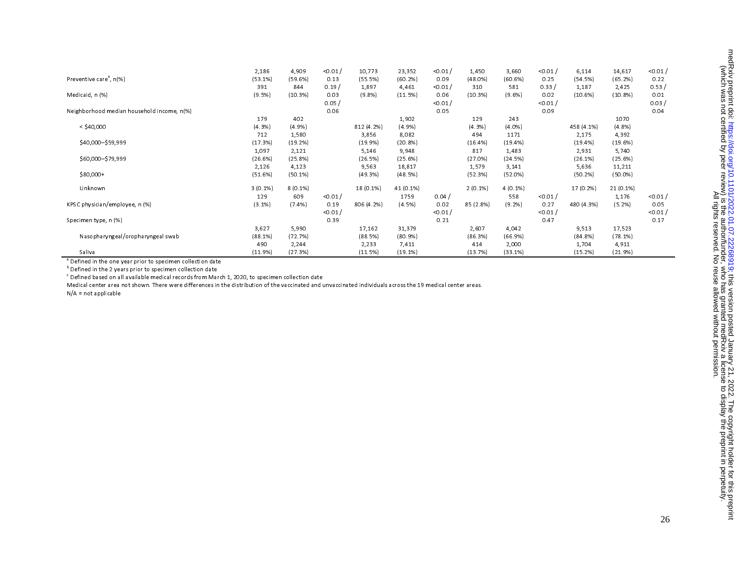|                                            | 2,186      | 4,909      | < 0.01 / | 10,773     | 23,352     | < 0.01   | 1,450      | 3,660      | < 0.01   | 6,114      | 14,617     | < 0.01 / |
|--------------------------------------------|------------|------------|----------|------------|------------|----------|------------|------------|----------|------------|------------|----------|
| Preventive care <sup>a</sup> , n(%)        | (53.1%)    | (59.6%)    | 0.13     | (55.5%)    | (60.2%)    | 0.09     | (48.0%)    | (60.6%)    | 0.25     | (54.5%)    | (65.2%)    | 0.22     |
|                                            | 391        | 844        | 0.19/    | 1,897      | 4,461      | < 0.01 / | 310        | 581        | 0.33/    | 1,187      | 2,425      | 0.53/    |
| Medicaid, n (%)                            | (9.5%      | (10.3%)    | 0.03     | (9.8%      | (11.5%)    | 0.06     | (10.3%)    | (9.6%)     | 0.02     | (10.6%)    | (10.8%)    | 0.01     |
|                                            |            |            | 0.05/    |            |            | < 0.01 / |            |            | < 0.01 / |            |            | 0.03/    |
| Neighborhood median household income, n(%) |            |            | 0.06     |            |            | 0.05     |            |            | 0.09     |            |            | 0.04     |
|                                            | 179        | 402        |          |            | 1,902      |          | 129        | 243        |          |            | 1070       |          |
| $<$ \$40,000                               | (4.3%)     | $(4.9\%)$  |          | 812 (4.2%) | (4.9%      |          | $(4.3\%)$  | (4.0%      |          | 458 (4.1%) | (4.8%)     |          |
|                                            | 712        | 1,580      |          | 3,856      | 8,082      |          | 494        | 1171       |          | 2,175      | 4,392      |          |
| \$40,000-\$59,999                          | (17.3%)    | (19.2%)    |          | (19.9%)    | (20.8%)    |          | (16.4%)    | (19.4%)    |          | (19.4%)    | (19.6%)    |          |
|                                            | 1,097      | 2,121      |          | 5,146      | 9,948      |          | 817        | 1,483      |          | 2,931      | 5,740      |          |
| \$60,000-\$79,999                          | (26.6%)    | (25.8%)    |          | (26.5%)    | (25.6%)    |          | (27.0%)    | (24.5%)    |          | (26.1%)    | (25.6%)    |          |
|                                            | 2,126      | 4,123      |          | 9,563      | 18,817     |          | 1,579      | 3,141      |          | 5,636      | 11,211     |          |
| $$80,000+$                                 | (51.6%)    | $(50.1\%)$ |          | (49.3%)    | (48.5%)    |          | (52.3%)    | (52.0%)    |          | (50.2%)    | $(50.0\%)$ |          |
| Unknown                                    | $3(0.1\%)$ | $8(0.1\%)$ |          | 18 (0.1%)  | 41 (0.1%)  |          | $2(0.1\%)$ | $4(0.1\%)$ |          | 17 (0.2%)  | 21 (0.1%)  |          |
|                                            | 129        | 609        | < 0.01 / |            | 1759       | 0.04/    |            | 558        | < 0.01 / |            | 1,176      | < 0.01 / |
| KPSC physician/employee, n (%)             | $(3.1\%)$  | $(7.4\%)$  | 0.19     | 806 (4.2%) | (4.5%)     | 0.02     | 85 (2.8%)  | (9.2%)     | 0.27     | 480 (4.3%) | (5.2%)     | 0.05     |
|                                            |            |            | < 0.01 / |            |            | < 0.01 / |            |            | < 0.01 / |            |            | < 0.01 / |
| Specimen type, n (%)                       |            |            | 0.39     |            |            | 0.21     |            |            | 0.47     |            |            | 0.17     |
|                                            | 3,627      | 5,990      |          | 17,162     | 31,379     |          | 2,607      | 4,042      |          | 9,513      | 17,523     |          |
| Nasopharyngeal/oropharyngeal swab          | (88.1%)    | (72.7%)    |          | (88.5%)    | $(80.9\%)$ |          | (86.3%)    | (66.9%)    |          | (84.8%)    | (78.1%)    |          |
|                                            | 490        | 2,244      |          | 2,233      | 7,411      |          | 414        | 2,000      |          | 1,704      | 4,911      |          |
| Saliva                                     | (11.9%)    | (27.3%)    |          | (11.5%)    | (19.1%)    |          | (13.7%)    | (33.1%)    |          | (15.2%)    | (21.9%)    |          |

<sup>a</sup> Defined in the one year prior to specimen collection date

 $<sup>b</sup>$  Defined in the 2 years prior to specimen collection date</sup>

 $\degree$  Defined based on all available medical records from March 1, 2020, to specimen collection date

Medical center area not shown. There were differences in the distribution of the vaccinated and unvaccinated individuals across the 19 medical center areas.

N/A = not applicable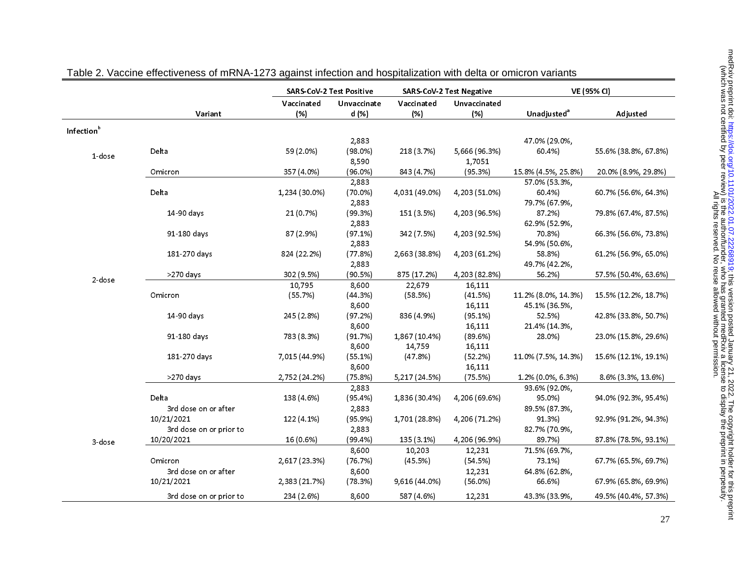|                        |                         | <b>SARS-CoV-2 Test Positive</b> |                      |                   | <b>SARS CoV-2 Test Negative</b> | VE (95% CI)             |                      |  |
|------------------------|-------------------------|---------------------------------|----------------------|-------------------|---------------------------------|-------------------------|----------------------|--|
|                        | Variant                 | Vaccinated<br>(%)               | Unvaccinate<br>d (%) | Vaccinated<br>(%) | Unvaccinated<br>(% )            | Unadjusted <sup>a</sup> | Adjusted             |  |
| Infection <sup>b</sup> |                         |                                 |                      |                   |                                 |                         |                      |  |
|                        |                         |                                 | 2,883                |                   |                                 | 47.0% (29.0%,           |                      |  |
| 1 dose                 | Delta                   | 59 (2.0%)                       | (98.0%)<br>8,590     | 218 (3.7%)        | 5,666 (96.3%)<br>1,7051         | 60.4%)                  | 55.6% (38.8%, 67.8%) |  |
|                        | Omicron                 | 357 (4.0%)                      | (96.0%)              | 843 (4.7%)        | (95.3%)                         | 15.8% (4.5%, 25.8%)     | 20.0% (8.9%, 29.8%)  |  |
|                        |                         |                                 | 2,883                |                   |                                 | 57.0% (53.3%,           |                      |  |
|                        | Delta                   | 1,234 (30.0%)                   | $(70.0\%)$<br>2,883  | 4,031 (49.0%)     | 4,203 (51.0%)                   | 60.4%)<br>79 7% (67 9%, | 60.7% (56.6%, 64.3%) |  |
|                        | 14-90 days              | 21 (0.7%)                       | (99.3%)              | 151 (3.5%)        | 4,203 (96.5%)                   | 87.2%)                  | 79.8% (67.4%, 87.5%) |  |
|                        |                         |                                 | 2,883                |                   |                                 | 62.9% (52.9%,           |                      |  |
|                        | 91 180 days             | 87 (2.9%)                       | (97.1%)              | 342 (7.5%)        | 4,203 (92.5%)                   | 70.8%)                  | 66.3% (56.6%, 73.8%) |  |
|                        |                         |                                 | 2,883                |                   |                                 | 54.9% (50.6%,           |                      |  |
|                        | 181 270 days            | 824 (22.2%)                     | (77.8%)<br>2,883     | 2,663 (38.8%)     | 4,203 (61.2%)                   | 58.8%)<br>49 7% (42 2%, | 61.2% (56.9%, 65.0%) |  |
|                        | >270 days               | 302 (9.5%)                      | (90.5%)              | 875 (17.2%)       | 4,203 (82.8%)                   | 56.2%)                  | 57.5% (50.4%, 63.6%) |  |
| 2 dose                 |                         | 10,795                          | 8,600                | 22,679            | 16.111                          |                         |                      |  |
|                        | Omicron                 | (55.7%)                         | (44.3%)              | (58.5%)           | (41.5%)                         | 11.2% (8.0%, 14.3%)     | 15.5% (12.2%, 18.7%) |  |
|                        |                         |                                 | 8,600                |                   | 16,111                          | 45 1% (36.5%,           |                      |  |
|                        | 14-90 days              | 245 (2.8%)                      | (97.2%)              | 836 (4.9%)        | (95.1%)                         | 52.5%)                  | 42.8% (33.8%, 50.7%) |  |
|                        |                         |                                 | 8,600                |                   | 16,111                          | 21 4% (14 3%,           |                      |  |
|                        | 91-180 days             | 783 (8.3%)                      | (91.7%)              | 1,867 (10.4%)     | (89.6%)                         | 28.0%)                  | 23.0% (15.8%, 29.6%) |  |
|                        |                         |                                 | 8,600                | 14,759            | 16,111                          |                         |                      |  |
|                        | 181 270 days            | 7,015 (44.9%)                   | (55.1%)              | (47.8%)           | $(52.2\%)$                      | 11.0% (7.5%, 14.3%)     | 15.6% (12.1%, 19.1%) |  |
|                        |                         |                                 | 8,600                |                   | 16,111                          |                         |                      |  |
|                        | $>270$ days             | 2,752 (24.2%)                   | (75.8%)              | 5,217 (24.5%)     | (75.5%)                         | 1.2% (0.0%, 6.3%)       | 8.6% (3.3%, 13.6%)   |  |
|                        |                         |                                 | 2,883                |                   |                                 | 93.6% (92.0%,           |                      |  |
|                        | Delta                   | 138 (4.6%)                      | (95.4%)              | 1,836 (30.4%)     | 4,206 (69.6%)                   | 95.0%)                  | 94.0% (92.3%, 95.4%) |  |
|                        | 3rd dose on or after    |                                 | 2,883                |                   |                                 | 89.5% (87.3%,           |                      |  |
|                        | 10/21/2021              | 122 (4.1%)                      | (95.9%)              | 1,701 (28.8%)     | 4,206 (71.2%)                   | 91.3%)                  | 92.9% (91.2%, 94.3%) |  |
|                        | 3rd dose on or prior to |                                 | 2,883                |                   |                                 | 82.7% (70.9%,           |                      |  |
| 3 dose                 | 10/20/2021              | 16 (0.6%)                       | (99.4% )             | 135 (3.1%)        | 4,206 (96.9%)                   | 89.7%)                  | 87 8% (78 5%, 93 1%) |  |
|                        |                         |                                 | 8,600                | 10,203            | 12,231                          | 71.5% (69.7%,           |                      |  |
|                        | Omicron                 | 2,617 (23.3%)                   | (76.7%)              | (45.5%)           | (54.5%)                         | 73.1%)                  | 67.7% (65.5%, 69.7%) |  |
|                        | 3rd dose on or after    |                                 | 8,600                |                   | 12,231                          | 64.8% (62.8%,           |                      |  |
|                        | 10/21/2021              | 2,383 (21.7%)                   | (78.3%)              | 9,616 (44.0%)     | $(56.0\%)$                      | 66.6%)                  | 67.9% (65.8%, 69.9%) |  |
|                        | 3rd dose on or prior to | 234 (2.6%)                      | 8,600                | 587 (4.6%)        | 12,231                          | 43.3% (33.9%,           | 49.5% (40.4%, 57.3%) |  |

| Table 2. Vaccine effectiveness of mRNA-1273 against infection and hospitalization with delta or omicron variants |  |  |
|------------------------------------------------------------------------------------------------------------------|--|--|
|                                                                                                                  |  |  |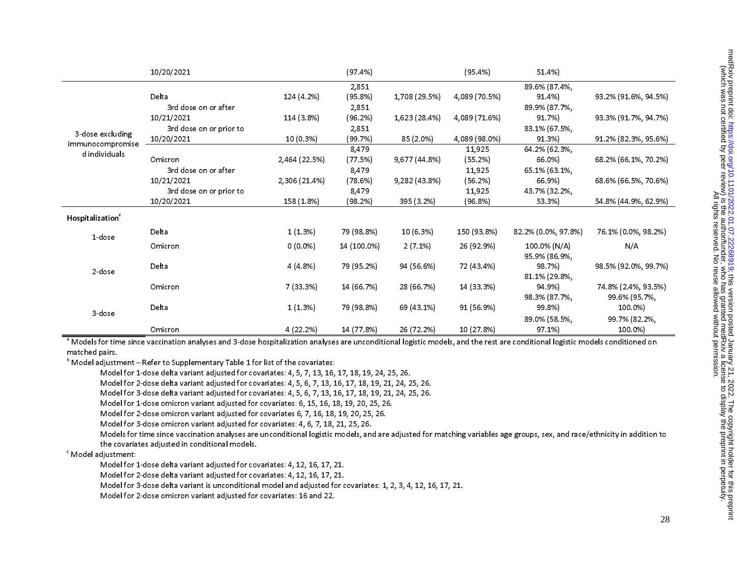|                                                       | 10/20/2021              |               | (97.4%)     |               | (95.4%)       | 51.4%)              |                      |
|-------------------------------------------------------|-------------------------|---------------|-------------|---------------|---------------|---------------------|----------------------|
|                                                       |                         |               | 2,851       |               |               | 89.6% (87.4%,       |                      |
|                                                       | Delta                   | 124 (4.2%)    | (95.8%)     | 1,708 (29.5%) | 4,089 (70.5%) | 91.4%)              | 93.2% (91.6%, 94.5%) |
|                                                       | 3rd dose on or after    |               | 2,851       |               |               | 89.9% (87.7%,       |                      |
| 3-dose excluding<br>immunocompromise<br>d individuals | 10/21/2021              | 114 (3.8%)    | (96.2%)     | 1,623 (28.4%) | 4,089 (71.6%) | 91.7%)              | 93.3% (91.7%, 94.7%) |
|                                                       | 3rd dose on or prior to |               | 2,851       |               |               | 83.1% (67.5%,       |                      |
|                                                       | 10/20/2021              | 10(0.3%)      | (99.7%)     | 85 (2.0%)     | 4,089 (98.0%) | 91.3%)              | 91.2% (82.3%, 95.6%) |
|                                                       |                         |               | 8,479       |               | 11,925        | 64 2% (62 3%,       |                      |
|                                                       | Omicron                 | 2,464 (22.5%) | (77.5%)     | 9,677 (44.8%) | (55.2%)       | 66.0%)              | 68.2% (66.1%, 70.2%) |
|                                                       | 3rd dose on or after    |               | 8,479       |               | 11,925        | 65 1% (63 1%,       |                      |
|                                                       | 10/21/2021              | 2,306 (21.4%) | (78.6%)     | 9,282 (43.8%) | (56.2%)       | 66.9%)              | 68.6% (66.5%, 70.6%) |
|                                                       | 3rd dose on or prior to |               | 8,479       |               | 11,925        | 43.7% (32.2%,       |                      |
|                                                       | 10/20/2021              | 158 (1.8%)    | $(98.2\%)$  | 395 (3.2%)    | (96.8%)       | 53.3%)              | 54 8% (44 9%, 62 9%) |
| Hospitalization <sup>c</sup>                          |                         |               |             |               |               |                     |                      |
| 1-dose                                                | Delta                   | 1(1.3%)       | 79 (98.8%)  | 10 (6.3%)     | 150 (93.8%)   | 82.2% (0.0%, 97.8%) | 76.1% (0.0%, 98.2%)  |
|                                                       | Omicron                 | $0(0.0\%)$    | 14 (100.0%) | $2(7.1\%)$    | 26 (92.9%)    | 100.0% (N/A)        | N/A                  |
|                                                       |                         |               |             |               |               | 95.9% (86.9%,       |                      |
| 2 dose                                                | Delta                   | 4(4.8%)       | 79 (95.2%)  | 94 (56.6%)    | 72 (43.4%)    | 98.7%)              | 98.5% (92.0%, 99.7%) |
|                                                       |                         |               |             |               |               | 81 1% (29.8%,       |                      |
|                                                       | Omicron                 | 7 (33.3%)     | 14 (66.7%)  | 28 (66.7%)    | 14 (33.3%)    | 94.9%)              | 74.8% (2.4%, 93.5%)  |
|                                                       |                         |               |             |               |               | 98.3% (87.7%,       | 99.6% (95.7%,        |
| 3-dose                                                | Delta                   | 1(1.3%)       | 79 (98.8%)  | 69 (43.1%)    | 91 (56.9%)    | 99.8%)              | 100.0%)              |
|                                                       |                         |               |             |               |               | 89.0% (58.5%,       | 99.7% (82.2%,        |
|                                                       | Omicron                 | 4 (22.2%)     | 14 (77.8%)  | 26 (72.2%)    | 10 (27.8%)    | 97.1%               | 100.0%)              |

<sup>a</sup> Models for time since vaccination analyses and 3-dose hospitalization analyses are unconditional logistic models, and the rest are conditional logistic models conditioned on matched pairs.

 $<sup>b</sup>$  Model adjustment – Refer to Supplementary Table 1 for list of the covariates:</sup>

Model for 1-dose delta variant adjusted for covariates: 4, 5, 7, 13, 16, 17, 18, 19, 24, 25, 26.

Model for 2-dose delta variant adjusted for covariates: 4, 5, 6, 7, 13, 16, 17, 18, 19, 21, 24, 25, 26.

Model for 3-dose delta variant adjusted for covariates: 4, 5, 6, 7, 13, 16, 17, 18, 19, 21, 24, 25, 26.

Model for 1-dose omicron variant adjusted for covariates: 6, 15, 16, 18, 19, 20, 25, 26.

Model for 2-dose omicron variant adjusted for covariates 6, 7, 16, 18, 19, 20, 25, 26.

Model for 3-dose omicron variant adjusted for covariates: 4, 6, 7, 18, 21, 25, 26.

Models for time since vaccination analyses are unconditional logistic models, and are adjusted for matching variables age groups, sex, and race/ethnicity in addition to the covariates adjusted in conditional models.

c Model adjustment:

Model for 1-dose delta variant adjusted for covariates: 4, 12, 16, 17, 21.

Model for 2-dose delta variant adjusted for covariates: 4, 12, 16, 17, 21.

Model for 3-dose delta variant is unconditional model and adjusted for covariates: 1, 2, 3, 4, 12, 16, 17, 21.

Model for 2-dose omicron variant adjusted for covariates: 16 and 22.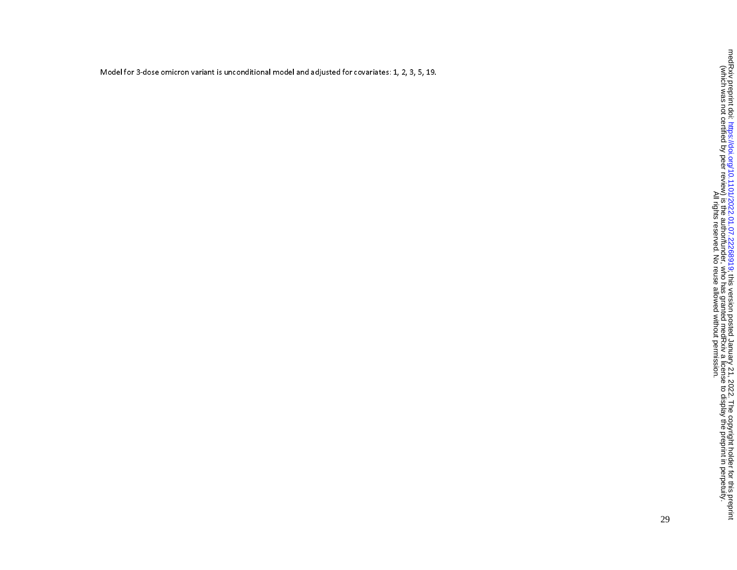Model for 3-dose omicron variant is unconditional model and adjusted for covariates: 1, 2, 3, 5, 19.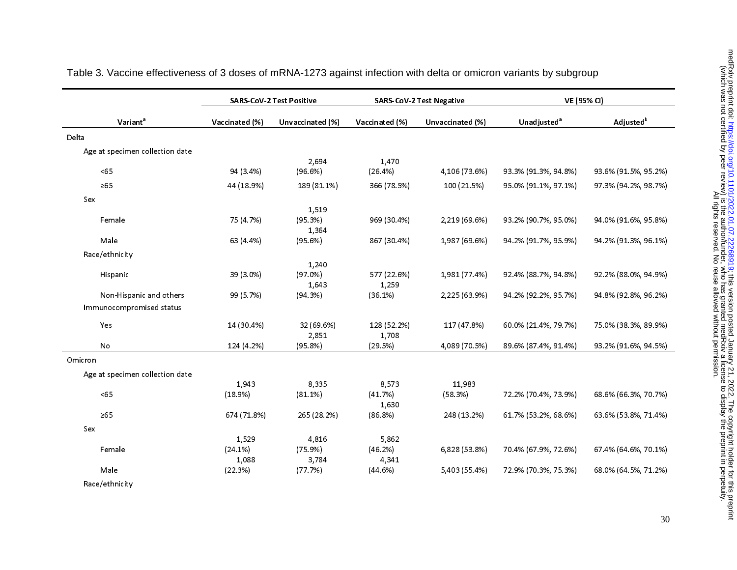|                                 | <b>SARS-CoV-2 Test Positive</b><br><b>SARS-CoV-2 Test Negative</b> |                  |                |                  | VE (95% CI)             |                       |  |  |
|---------------------------------|--------------------------------------------------------------------|------------------|----------------|------------------|-------------------------|-----------------------|--|--|
| Variant <sup>a</sup>            | Vaccinated (%)                                                     | Unvaccinated (%) | Vaccinated (%) | Unvaccinated (%) | Unadjusted <sup>a</sup> | Adjusted <sup>b</sup> |  |  |
| Delta                           |                                                                    |                  |                |                  |                         |                       |  |  |
| Age at specimen collection date |                                                                    |                  |                |                  |                         |                       |  |  |
|                                 |                                                                    | 2,694            | 1,470          |                  |                         |                       |  |  |
| <65                             | 94 (3.4%)                                                          | (96.6%)          | (26.4%)        | 4,106 (73.6%)    | 93.3% (91.3%, 94.8%)    | 93.6% (91.5%, 95.2%)  |  |  |
| $\geq 65$                       | 44 (18.9%)                                                         | 189 (81 1%)      | 366 (78.5%)    | 100 (21.5%)      | 95.0% (91.1%, 97.1%)    | 97.3% (94.2%, 98.7%)  |  |  |
| Sex                             |                                                                    |                  |                |                  |                         |                       |  |  |
|                                 |                                                                    | 1,519            |                |                  |                         |                       |  |  |
| Female                          | 75 (4.7%)                                                          | (95.3%)          | 969 (30.4%)    | 2,219 (69.6%)    | 93.2% (90.7%, 95.0%)    | 94.0% (91.6%, 95.8%)  |  |  |
|                                 |                                                                    | 1.364            |                |                  |                         |                       |  |  |
| Male                            | 63 (4.4%)                                                          | (95.6%)          | 867 (30.4%)    | 1,987 (69.6%)    | 94.2% (91.7%, 95.9%)    | 94.2% (91.3%, 96.1%)  |  |  |
| Race/ethnicity                  |                                                                    |                  |                |                  |                         |                       |  |  |
|                                 |                                                                    | 1,240            |                |                  |                         |                       |  |  |
| Hispanic                        | 39 (3.0%)                                                          | $(97.0\%)$       | 577 (22.6%)    | 1,981 (77.4%)    | 92.4% (88.7%, 94.8%)    | 92.2% (88.0%, 94.9%)  |  |  |
|                                 |                                                                    | 1,643            | 1,259          |                  |                         |                       |  |  |
| Non-Hispanic and others         | 99 (5.7%)                                                          | (94.3%)          | (36.1%)        | 2,225 (63.9%)    | 94.2% (92.2%, 95.7%)    | 94 8% (92 8%, 96 2%)  |  |  |
| Immunocompromised status        |                                                                    |                  |                |                  |                         |                       |  |  |
| Yes                             | 14 (30.4%)                                                         | 32 (69.6%)       | 128 (52.2%)    | 117 (47.8%)      | 60.0% (21.4%, 79.7%)    | 75.0% (38.3%, 89.9%)  |  |  |
|                                 |                                                                    | 2,851            | 1,708          |                  |                         |                       |  |  |
| No                              | 124 (4.2%)                                                         | (95.8%)          | (29.5%)        | 4,089 (70.5%)    | 89.6% (87.4%, 91.4%)    | 93.2% (91.6%, 94.5%)  |  |  |
| Omicron                         |                                                                    |                  |                |                  |                         |                       |  |  |
| Age at specimen collection date |                                                                    |                  |                |                  |                         |                       |  |  |
|                                 | 1,943                                                              | 8,335            | 8,573          | 11,983           |                         |                       |  |  |
| <65                             | (18.9%)                                                            | $(81.1\%)$       | (41.7%)        | (58.3%)          | 72.2% (70.4%, 73.9%)    | 68.6% (66.3%, 70.7%)  |  |  |
|                                 |                                                                    |                  | 1,630          |                  |                         |                       |  |  |
| $\geq 65$                       | 674 (71.8%)                                                        | 265 (28.2%)      | (86.8%)        | 248 (13.2%)      | 61.7% (53.2%, 68.6%)    | 63.6% (53.8%, 71.4%)  |  |  |
| Sex                             |                                                                    |                  |                |                  |                         |                       |  |  |
|                                 | 1,529                                                              | 4,816            | 5,862          |                  |                         |                       |  |  |
| Female                          | $(24.1\%)$                                                         | (75.9%)          | (46.2%)        | 6,828 (53.8%)    | 70.4% (67.9%, 72.6%)    | 67.4% (64.6%, 70.1%)  |  |  |
|                                 | 1,088                                                              | 3,784            | 4,341          |                  |                         |                       |  |  |
| Male                            | (22.3%)                                                            | (77.7%)          | (44.6%)        | 5,403 (55.4%)    | 72.9% (70.3%, 75.3%)    | 68.0% (64.5%, 71.2%)  |  |  |
| Race/ethnicity                  |                                                                    |                  |                |                  |                         |                       |  |  |

## Table 3. Vaccine effectiveness of 3 doses of mRNA-1273 against infection with delta or omicron variants by subgroup